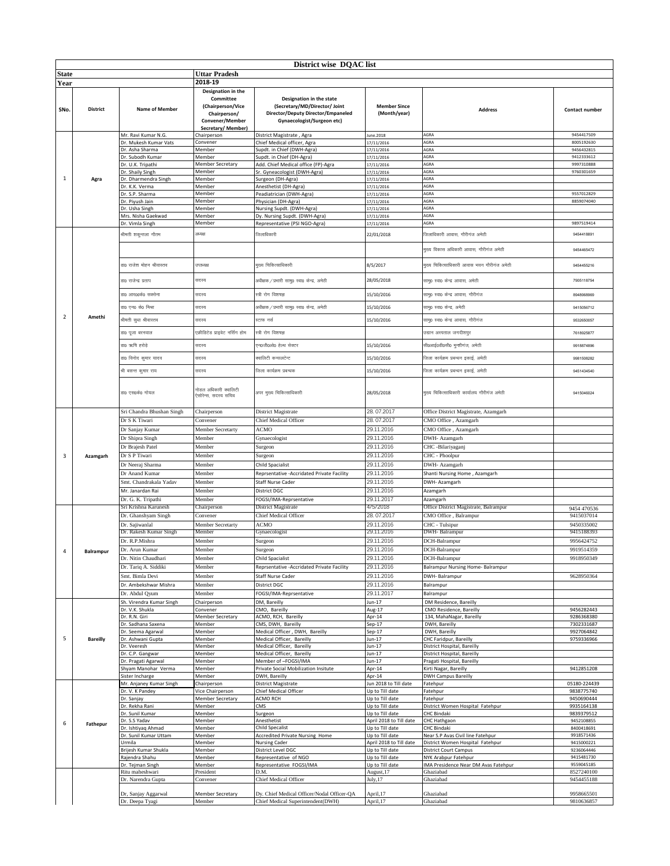|              | District wise DQAC list |                                             |                                                                                                              |                                                                                                                               |                                            |                                                                       |                           |  |
|--------------|-------------------------|---------------------------------------------|--------------------------------------------------------------------------------------------------------------|-------------------------------------------------------------------------------------------------------------------------------|--------------------------------------------|-----------------------------------------------------------------------|---------------------------|--|
| <b>State</b> |                         |                                             | Uttar Pradesh                                                                                                |                                                                                                                               |                                            |                                                                       |                           |  |
| Year         |                         |                                             | 2018-19                                                                                                      |                                                                                                                               |                                            |                                                                       |                           |  |
| SNo.         | District                | <b>Name of Member</b>                       | Designation in the<br>Committee<br>(Chairperson/Vice<br>Chairperson/<br>Convener/Member<br>Secretary/Member) | Designation in the state<br>(Secretary/MD/Director/ Joint<br>Director/Deputy Director/Empaneled<br>Gynaecologist/Surgeon etc) | <b>Member Since</b><br>(Month/year)        | <b>Address</b>                                                        | Contact number            |  |
|              |                         | Mr. Ravi Kumar N.G.                         | Chairperson                                                                                                  | District Magistrate, Agra                                                                                                     | June.2018                                  | AGRA                                                                  | 9454417509                |  |
|              |                         | Dr. Mukesh Kumar Vats<br>Dr. Asha Sharma    | Convener<br>Member                                                                                           | Chief Medical officer, Agra<br>Supdt. in Chief (DWH-Agra)                                                                     | 17/11/2016<br>17/11/2016                   | AGRA<br>AGRA                                                          | 8005192630<br>9456432815  |  |
|              |                         | Dr. Subodh Kumar                            | Member                                                                                                       | Supdt. in Chief (DH-Agra)                                                                                                     | 17/11/2016                                 | AGRA                                                                  | 9412333612                |  |
|              |                         | Dr. U.K. Tripathi                           | <b>Member Secretary</b>                                                                                      | Add. Chief Medical office (FP)-Agra                                                                                           | 17/11/2016                                 | AGRA                                                                  | 9997310888                |  |
|              |                         | Dr. Shaily Singh                            | Member                                                                                                       | Sr. Gyneacologist (DWH-Agra)                                                                                                  | 17/11/2016                                 | AGRA                                                                  | 9760301659                |  |
| $\mathbf{1}$ | Agra                    | Dr. Dharmendra Singh                        | Member<br>Member                                                                                             | Surgeon (DH-Agra)                                                                                                             | 17/11/2016                                 | AGRA<br>AGRA                                                          |                           |  |
|              |                         | Dr. K.K. Verma<br>Dr. S.P. Sharma           | Member                                                                                                       | Anesthetist (DH-Agra)<br>Peadiatrician (DWH-Agra)                                                                             | 17/11/2016<br>17/11/2016                   | AGRA                                                                  | 9557012829                |  |
|              |                         | Dr. Piyush Jain                             | Member                                                                                                       | Physician (DH-Agra)                                                                                                           | 17/11/2016                                 | AGRA                                                                  | 8859074040                |  |
|              |                         | Dr. Usha Singh                              | Member                                                                                                       | Nursing Supdt. (DWH-Agra)                                                                                                     | 17/11/2016                                 | AGRA                                                                  |                           |  |
|              |                         | Mrs. Nisha Gaekwad<br>Dr. Vimla Singh       | Member<br>Member                                                                                             | Dy. Nursing Supdt. (DWH-Agra)<br>Representative (PSI NGO-Agra)                                                                | 17/11/2016<br>17/11/2016                   | AGRA<br>AGRA                                                          | 9897519414                |  |
|              |                         |                                             |                                                                                                              |                                                                                                                               |                                            |                                                                       |                           |  |
|              |                         | श्रीमती शकुन्तला गौतम                       | अध्यक्ष                                                                                                      | जेलाधिकारी                                                                                                                    | 22/01/2018                                 | .<br>जलाधिकारी आवास, गौरीगंज अमेठी                                    | 9454418891                |  |
|              |                         |                                             |                                                                                                              |                                                                                                                               |                                            | मुख्य विकास अधिकारी आवास, गौरीगंज अमेठी                               | 9454465472                |  |
|              |                         | डा0 राजेश मोहन श्रीवास्तव                   | त पाध्यक्ष                                                                                                   | मुख्य चिकित्साधिकारी                                                                                                          | 8/5/2017                                   | मुख्य चिकित्साधिकारी आवास भवन गौरीगंज अमेठी                           | 9454455216                |  |
|              |                         | डा0 राजेन्द्र प्रताप<br>डा0 आर00के0 सक्सेना | सदस्य<br>सदस्य                                                                                               | अधीक्षक / प्रभारी सामु0 स्वा0 केन्द्र, अमेठी<br>स्त्री रोग विशषज्ञ                                                            | 28/05/2018<br>15/10/2016                   | सामू0 स्वा0 केन्द्र आवास, अमेठी<br>सामु0 स्वा0 केन्द्र आवास, गौरीगंज  | 7905118754<br>8948968969  |  |
|              |                         | डा0 एन0 के0 मिश्रा                          | सदस्य                                                                                                        | अधीक्षक / प्रभारी सामु0 स्वा0 केन्द्र, अमेठी                                                                                  | 15/10/2016                                 | सामु0 स्वा0 केन्द्र, अमेठी                                            | 9415056712                |  |
| 2            | Amethi                  | श्रीमती सुधा श्रीवास्तव                     | सदस्य                                                                                                        | ऱ्टाफ नर्स                                                                                                                    | 15/10/2016                                 | सामु0 स्वा0 केन्द्र आवास, गौरीगंज                                     | 9532650057                |  |
|              |                         | डा0 पूजा बरनवाल                             | एक्रीडिटेड प्राइवेट नर्सिंग होम                                                                              | स्त्री रोग विशषज्ञ                                                                                                            |                                            | उद्यान अस्पताल जगदीशपुर                                               | 7618925877                |  |
|              |                         | डा0 ऋषि हरोडे                               | सदस्य                                                                                                        | ग्न0जी0ओ0 हेल्थ सेक्टर                                                                                                        | 15/10/2016                                 | सी0आई0डी0सी0 मुन्शीगंज, अमेठी                                         | 9918874896                |  |
|              |                         | डा0 विनोद कुमार यादव                        | सदस्य                                                                                                        | क्वालिटी कन्सलटेन्ट                                                                                                           | 15/10/2016                                 | जिला कार्यक्रम प्रबन्धन इकाई, अमेठी                                   | 9981508282                |  |
|              |                         | श्री बसन्त कुमार राय                        | सदस्य                                                                                                        | जिला कार्यक्रम प्रबन्धक                                                                                                       | 15/10/2016                                 | जिला कार्यक्रम प्रबन्धन इकाई, अमेठी                                   | 9451434540                |  |
|              |                         | डा0 एस0के0 गोयल                             | नोडल अधिकारी क्वालिटी<br>ऐसोरेन्स, सदस्य सचिव                                                                | अपर मुख्य चिकित्साधिकारी                                                                                                      | 28/05/2018                                 | मुख्य चिकित्साधिकारी कार्यालय गौरीगंज अमेठी                           | 9415046024                |  |
|              |                         |                                             |                                                                                                              |                                                                                                                               | 28.07.2017                                 |                                                                       |                           |  |
|              |                         | Sri Chandra Bhushan Singh<br>Dr S K Tiwari  | Chairperson<br>Convener                                                                                      | District Magistrate<br>Chief Medical Officer                                                                                  | 28.07.2017                                 | Office District Magistrate, Azamgarh<br>CMO Office, Azamgarh          |                           |  |
|              |                         | Dr Sanjay Kumar                             | Member Secretarty                                                                                            | <b>ACMO</b>                                                                                                                   | 29.11.2016                                 | CMO Office, Azamgarh                                                  |                           |  |
|              |                         | Dr Shipra Singh                             | Member                                                                                                       | Gynaecologist                                                                                                                 | 29.11.2016                                 | DWH- Azamgarh                                                         |                           |  |
|              |                         | Dr Brajesh Patel                            | Member                                                                                                       | Surgeon                                                                                                                       | 29.11.2016                                 | CHC -Bilariyaganj                                                     |                           |  |
| 3            | Azamgarh                | Dr S P Tiwari                               | Member                                                                                                       | Surgeon                                                                                                                       | 29.11.2016                                 | CHC - Phoolpur                                                        |                           |  |
|              |                         | Dr Neeraj Sharma                            | Member                                                                                                       | Child Spacialist                                                                                                              | 29.11.2016                                 | DWH- Azamgarh                                                         |                           |  |
|              |                         | Dr Anand Kumar                              | Member                                                                                                       | Reprsentative -Accridated Private Facility                                                                                    | 29.11.2016                                 | Shanti Nursing Home, Azamgarh                                         |                           |  |
|              |                         | Smt. Chandrakala Yadav                      | Member                                                                                                       | Staff Nurse Cader                                                                                                             | 29.11.2016                                 | DWH- Azamgarh                                                         |                           |  |
|              |                         | Mr. Janardan Rai                            | Member                                                                                                       | District DGC                                                                                                                  | 29.11.2016                                 | Azamgarh                                                              |                           |  |
|              |                         | Dr. G. K. Tripathi<br>Sri Krishna Karunesh  | Member<br>Chairperson                                                                                        | FOGSI/IMA-Reprsentative<br>District Magistrate                                                                                | 29.11.2017<br>4/5/2018                     | Azamgarh<br>Office District Magistrate, Balrampur                     |                           |  |
|              |                         | Dr. Ghanshyam Singh                         | Convener                                                                                                     | Chief Medical Officer                                                                                                         | 28.07.2017                                 | CMO Office, Balrampur                                                 | 9454 470536<br>9415037014 |  |
|              |                         | Dr. Sajiwanlal                              | Member Secretarty                                                                                            | ACMO                                                                                                                          | 29.11.2016                                 | CHC - Tulsipur                                                        | 9450335002                |  |
|              |                         | Dr. Rakesh Kumar Singh                      | Member                                                                                                       | Gynaecologist                                                                                                                 | 29.11.2016                                 | DWH- Balrampur                                                        | 9415188393                |  |
|              |                         | Dr. R.P.Mishra                              | Member                                                                                                       | Surgeon                                                                                                                       | 29.11.2016                                 | DCH-Balrampur                                                         | 9956424752                |  |
| 4            | Balrampur               | Dr. Arun Kumar                              | viember                                                                                                      | Surgeon                                                                                                                       | 29.11.2016                                 | DCH-Balrampur                                                         | 9919514359                |  |
|              |                         | Dr. Nitin Chaudhari                         | Member                                                                                                       | Child Spacialist                                                                                                              | 29.11.2016                                 | DCH-Balrampur                                                         | 9918950349                |  |
|              |                         | Dr. Tariq A. Siddiki                        | Member                                                                                                       | Reprsentative - Accridated Private Facility                                                                                   | 29.11.2016                                 | Balrampur Nursing Home- Balrampur                                     |                           |  |
|              |                         | Smt. Bimla Devi                             | Member                                                                                                       | Staff Nurse Cader                                                                                                             | 29.11.2016                                 | DWH- Balrampur                                                        | 9628950364                |  |
|              |                         | Dr. Ambekshwar Mishra                       | Member                                                                                                       | District DGC                                                                                                                  | 29.11.2016                                 | Balrampur                                                             |                           |  |
|              |                         | Dr. Abdul Qyum<br>Sh. Virendra Kumar Singh  | Member                                                                                                       | FOGSI/IMA-Reprsentative                                                                                                       | 29.11.2017                                 | Balrampur<br>DM Residence, Bareilly                                   |                           |  |
|              |                         | Dr. V.K. Shukla                             | Chairperson<br>Convener                                                                                      | DM, Bareilly<br>CMO, Bareilly                                                                                                 | Jun-17<br>Aug-17                           | CMO Residence, Bareilly                                               | 9456282443                |  |
|              |                         | Dr. R.N. Giri                               | <b>Member Secretary</b>                                                                                      | ACMO, RCH, Bareilly                                                                                                           | Apr-14                                     | 134, MahaNagar, Bareilly                                              | 9286368380                |  |
|              |                         | Dr. Sadhana Saxena                          | Member                                                                                                       | CMS, DWH, Bareilly                                                                                                            | $Sep-17$                                   | DWH, Bareilly                                                         | 7302331687                |  |
| 5            | <b>Bareilly</b>         | Dr. Seema Agarwal<br>Dr. Ashwani Gupta      | Member<br>Member                                                                                             | Medical Officer, DWH, Bareilly<br>Medical Officer, Bareilly                                                                   | $Sep-17$<br>Jun-17                         | DWH, Bareilly<br>CHC Faridpur, Bareilly                               | 9927064842<br>9759336966  |  |
|              |                         | Dr. Veeresh                                 | Member                                                                                                       | Medical Officer, Bareilly                                                                                                     | Jun-17                                     | District Hospital, Bareilly                                           |                           |  |
|              |                         | Dr. C.P. Gangwar                            | Member                                                                                                       | Medical Officer, Bareilly                                                                                                     | $Jun-17$                                   | District Hospital, Bareilly                                           |                           |  |
|              |                         | Dr. Pragati Agarwal                         | Member                                                                                                       | Member of -FOGSI/IMA                                                                                                          | Jun-17                                     | Pragati Hospital, Bareilly                                            |                           |  |
|              |                         | Shyam Manohar Verma<br>Sister Incharge      | Member<br>Member                                                                                             | Private Social Mobilization Insitute<br>DWH, Bareilly                                                                         | Apr-14<br>Apr-14                           | Kirti Nagar, Bareilly<br><b>DWH Campus Bareilly</b>                   | 9412851208                |  |
|              |                         | Mr. Anjaney Kumar Singh                     | Chairperson                                                                                                  | District Magistrate                                                                                                           | Jun 2018 to Till date                      | Fatehpur                                                              | 05180-224439              |  |
|              |                         | Dr. V. K Pandey                             | Vice Chairperson                                                                                             | Chief Medical Officer                                                                                                         | Up to Till date                            | Fatehpur                                                              | 9838775740                |  |
|              |                         | Dr. Sanjay                                  | <b>Member Secretary</b>                                                                                      | ACMO RCH                                                                                                                      | Up to Till date                            | Fatehpur                                                              | 9450690444                |  |
|              |                         | Dr. Rekha Rani<br>Dr. Sunil Kumar           | Member<br>Member                                                                                             | CMS<br>Surgeon                                                                                                                | Up to Till date<br>Up to Till date         | District Women Hospital Fatehpur<br><b>CHC Bindaki</b>                | 9935164138<br>9839379512  |  |
| 6            | Fathepur                | Dr. S.S Yadav                               | Member                                                                                                       | Anesthetist                                                                                                                   | April 2018 to Till date                    | CHC Hathgaon                                                          | 9452108855                |  |
|              |                         | Dr. Ishtiyaq Ahmad                          | Member                                                                                                       | Child Specalist                                                                                                               | Up to Till date                            | CHC Bindaki                                                           | 8400418691                |  |
|              |                         | Dr. Sunil Kumar Uttam<br>Urmila             | Member                                                                                                       | Accredited Private Nursing Home<br><b>Nursing Cader</b>                                                                       | Up to Till date<br>April 2018 to Till date | Near S.P Avas Civil line Fatehpur<br>District Women Hospital Fatehpur | 9918571436<br>9415000221  |  |
|              |                         | Brijesh Kumar Shukla                        | Member<br>Member                                                                                             | District Level DGC                                                                                                            | Up to Till date                            | <b>District Court Campus</b>                                          | 9236064446                |  |
|              |                         | Rajendra Shahu                              | Member                                                                                                       | Representative of NGO                                                                                                         | Up to Till date                            | NYK Arabpur Fatehpur                                                  | 9415481730                |  |
|              |                         | Dr. Tejman Singh                            | Member                                                                                                       | Representative FOGSI/IMA                                                                                                      | Up to Till date                            | IMA Presidence Near DM Avas Fatehpur                                  | 9559045185                |  |
|              |                         | Ritu maheshwari<br>Dr. Narendra Gupta       | President<br>Convener                                                                                        | D.M<br>Chief Medical Officer                                                                                                  | August, 17<br>July, 17                     | Ghaziabad<br>Ghaziabad                                                | 8527240100<br>9454455188  |  |
|              |                         | Dr, Sanjay Aggarwal                         | <b>Member Secretary</b>                                                                                      | Dy. Chief Medical Officer/Nodal Officer-QA                                                                                    | April, 17                                  | Ghaziabad                                                             | 9958665501                |  |
|              |                         | Dr. Deepa Tyagi                             | Member                                                                                                       | Chief Medical Superintendent(DWH)                                                                                             | April, 17                                  | Ghaziabad                                                             | 9810636857                |  |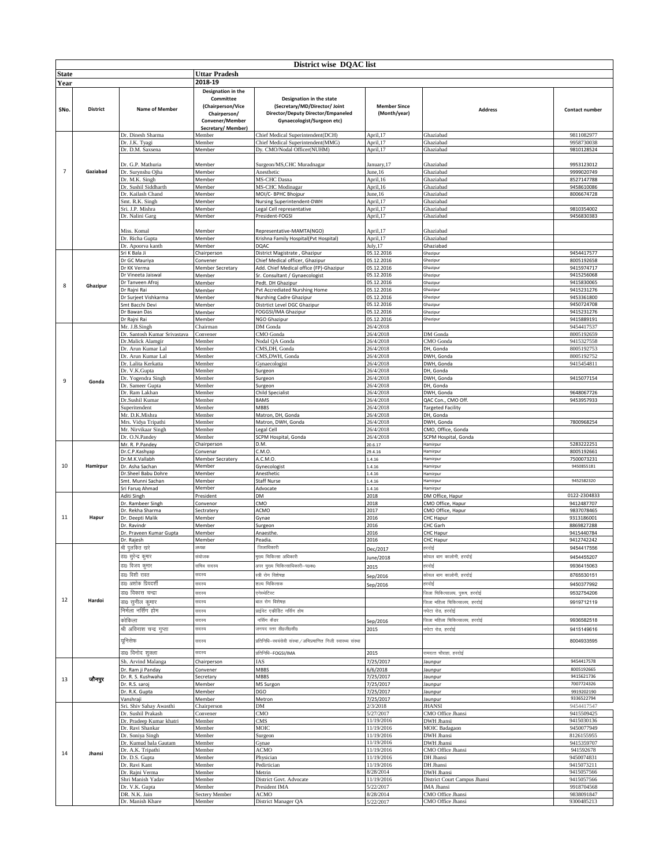|                |                 |                                          |                                 | District wise DQAC list                                        |                          |                                    |                          |
|----------------|-----------------|------------------------------------------|---------------------------------|----------------------------------------------------------------|--------------------------|------------------------------------|--------------------------|
| State          |                 |                                          | Uttar Pradesh                   |                                                                |                          |                                    |                          |
|                |                 |                                          | 2018-19                         |                                                                |                          |                                    |                          |
| Year           |                 |                                          |                                 |                                                                |                          |                                    |                          |
|                |                 |                                          | Designation in the<br>Committee | Designation in the state                                       |                          |                                    |                          |
|                |                 |                                          | (Chairperson/Vice               | (Secretary/MD/Director/ Joint                                  | <b>Member Since</b>      |                                    |                          |
| SNo.           | <b>District</b> | Name of Member                           | Chairperson/                    | Director/Deputy Director/Empaneled                             | (Month/year)             | <b>Address</b>                     | Contact number           |
|                |                 |                                          | Convener/Member                 | Gynaecologist/Surgeon etc)                                     |                          |                                    |                          |
|                |                 |                                          | Secretary/Member)               |                                                                |                          |                                    |                          |
|                |                 | Dr. Dinesh Sharma                        | Member                          | Chief Medical Superintendent(DCH)                              | April, 17                | Ghaziabad                          | 9811082977               |
|                |                 | Dr. J.K. Tyagi                           | Member                          | Chief Medical Superintendent(MMG)                              | April, 17                | Ghaziabad                          | 9958730038               |
|                |                 | Dr. D.M. Saxsena                         | Member                          | Dy. CMO/Nodal Officer(NUHM)                                    | April, 17                | Ghaziabad                          | 9810128524               |
|                |                 | Dr. G.P. Mathuria                        |                                 |                                                                |                          |                                    | 9953123012               |
| $\overline{7}$ | Gaziabad        | Dr. Surynshu Ojha                        | Member<br>Member                | Surgeon/MS, CHC Muradnagar<br>Anesthetic                       | January, 17<br>June, 16  | Ghaziabad<br>Ghaziabad             | 9999020749               |
|                |                 | Dr. M.K. Singh                           | Member                          | MS-CHC Dasna                                                   | April, 16                | Ghaziabad                          | 8527147788               |
|                |                 | Dr. Sushil Siddharth                     | Member                          | MS-CHC Modinagar                                               | April, 16                | Ghaziabad                          | 9458610086               |
|                |                 | Dr. Kailash Chand                        | Member                          | MOI/C- BPHC Bhojpur                                            | June, 16                 | Ghaziabad                          | 8006674728               |
|                |                 | Smt. R.K. Singh                          | Member                          | Nursing Superintendent-DWH                                     | April, 17                | Ghaziabad                          |                          |
|                |                 | Sri. J.P. Mishra                         | Member                          | Legal Cell representative                                      | April, 17                | Ghaziabad                          | 9810354002               |
|                |                 | Dr. Nalini Garg                          | Member                          | President-FOGSI                                                | April, 17                | Ghaziabad                          | 9456830383               |
|                |                 | Miss. Komal                              | Member                          | Representative-MAMTA(NGO)                                      | April, 17                | Ghaziabad                          |                          |
|                |                 | Dr. Richa Gupta                          | Member                          | Krishna Family Hospital(Pvt Hospital)                          | April, 17                | Ghaziabad                          |                          |
|                |                 | Dr. Apoorva kanth                        | Member                          | DQAC                                                           | July, 17                 | Ghaziabad                          |                          |
|                |                 | Sri K Bala Ji                            | Chairperson                     | District Magistrate, Ghazipur                                  | 05.12.2016               | Ghazipur                           | 9454417577               |
|                |                 | Dr GC Mauriya                            | Convener                        | Chief Medical officer, Ghazipur                                | 05.12.2016               | Ghazipur                           | 8005192658               |
|                |                 | Dr KK Verma                              | Member Secretary                | Add. Chief Medical office (FP)-Ghazipur                        | 05.12.2016               | Ghazipur                           | 9415974717               |
|                |                 | Dr Vineeta Jaiswal                       | Member                          | Sr. Consultant / Gynaecologist                                 | 05.12.2016               | Ghazipur                           | 9415256068               |
| 8              | Ghazipur        | Dr Tanveen Afroj<br>Dr Rajni Rai         | Member<br>Member                | Pedt. DH Ghazipur<br>Pvt Accrediated Nurshing Home             | 05.12.2016<br>05.12.2016 | Ghazipur<br>Ghazipur               | 9415830065<br>9415231276 |
|                |                 | Dr Surjeet Vishkarma                     | Member                          | Nurshing Cadre Ghazipur                                        | 05.12.2016               | Ghazipur                           | 9453361800               |
|                |                 | Smt Bacchi Devi                          | Member                          | Distrtict Level DGC Ghazipur                                   | 05.12.2016               | Ghazipur                           | 9450724708               |
|                |                 | Dr Bawan Das                             | Member                          | FOGGSI/IMA Ghazipur                                            | 05.12.2016               | Ghazipur                           | 9415231276               |
|                |                 | Dr Rajni Rai                             | Member                          | NGO Ghazipur                                                   | 05.12.2016               | Ghazipur                           | 9415889191               |
|                |                 | Mr. J.B.Singh                            | Chairman                        | DM Gonda                                                       | 26/4/2018                |                                    | 9454417537               |
|                |                 | Dr. Santosh Kumar Srivastava             | Convener                        | CMO Gonda                                                      | 26/4/2018                | DM Gonda                           | 8005192659               |
|                |                 | Dr.Malick Alamgir<br>Dr. Arun Kumar Lal  | Member                          | Nodal QA Gonda<br>CMS, DH, Gonda                               | 26/4/2018<br>26/4/2018   | CMO Gonda<br>DH, Gonda             | 9415327558<br>8005192753 |
|                |                 | Dr. Arun Kumar Lal                       | Member<br>Member                | CMS, DWH, Gonda                                                | 26/4/2018                | DWH, Gonda                         | 8005192752               |
|                |                 | Dr. Lalita Kerkatta                      | Member                          | Gynaecologist                                                  | 26/4/2018                | DWH, Gonda                         | 9415454811               |
|                |                 | Dr. V.K.Gupta                            | Member                          | Surgeon                                                        | 26/4/2018                | DH, Gonda                          |                          |
| 9              | Gonda           | Dr. Yogendra Singh                       | Member                          | Surgeon                                                        | 26/4/2018                | DWH, Gonda                         | 9415077154               |
|                |                 | Dr. Sameer Gupta                         | Member                          | Surgeon                                                        | 26/4/2018                | DH, Gonda                          |                          |
|                |                 | Dr. Ram Lakhan                           | Member                          | Child Specialist                                               | 26/4/2018                | DWH, Gonda                         | 9648067726               |
|                |                 | Dr.Sushil Kumar                          | Member                          | BAMS                                                           | 26/4/2018                | QAC Con., CMO Off.                 | 9453957933               |
|                |                 | Superitendent                            | Member                          | <b>MBBS</b>                                                    | 26/4/2018                | <b>Targeted Facility</b>           |                          |
|                |                 | Mr. D.K.Mishra<br>Mrs. Vidya Tripathi    | Member<br>Member                | Matron, DH, Gonda<br>Matron, DWH, Gonda                        | 26/4/2018<br>26/4/2018   | DH, Gonda<br>DWH, Gonda            | 7800968254               |
|                |                 | Mr. Nirvikaar Singh                      | Member                          | Legal Cell                                                     | 26/4/2018                | CMO, Office, Gonda                 |                          |
|                |                 | Dr. O.N.Pandey                           | Member                          | SCPM Hospital, Gonda                                           | 26/4/2018                | SCPM Hospital, Gonda               |                          |
|                | Hamirpur        | Mr. R. P.Pandey                          | Chairperson                     | D.M.                                                           | 20.6.17                  | Hamirpur                           | 5283222251               |
|                |                 | Dr.C.P.Kashyap                           | Convenar                        | C.M.O.                                                         | 29.4.16                  | Hamirpur                           | 8005192661               |
|                |                 | Dr.M.K.Vallabh                           | <b>Member Secratery</b>         | A.C.M.O.                                                       | 1.4.16                   | Hamirpur                           | 7500073231               |
| 10             |                 | Dr. Asha Sachan                          | Member                          | Gynecologist                                                   | 1.4.16                   | Hamirpur                           | 9450855181               |
|                |                 | Dr.Sheel Babu Dohre<br>Smt. Munni Sachan | Member<br>Member                | Anesthetic<br><b>Staff Nurse</b>                               | 1.4.16<br>1.4.16         | Hamirpur<br>Hamirpur               | 9452582320               |
|                |                 | Sri Farug Ahmad                          | Member                          | Advocate                                                       | 1.4.16                   | Hamirpur                           |                          |
|                |                 | Aditi Singh                              | President                       | DM                                                             | 2018                     | DM Office, Hapur                   | 0122-2304833             |
|                |                 | Dr. Rambeer Singh                        | Convenor                        | CMO                                                            | 2018                     | CMO Office, Hapur                  | 9412487707               |
|                |                 | Dr. Rekha Sharma                         | Sectratery                      | ACMO                                                           | 2017                     | CMO Office, Hapur                  | 9837078465               |
| 11             | Hapur           | Dr. Deepti Malik                         | Member                          | Gynae                                                          | 2016                     | CHC Hapur                          | 9313186001               |
|                |                 | Dr. Ravindr                              | Member                          | Surgeon                                                        | 2016                     | CHC Garh                           | 8869827288               |
|                |                 | Dr. Praveen Kumar Gupta                  | Member<br>Member                | Anaesthe                                                       | 2016<br>2016             | CHC Hapur                          | 9415440784<br>9412742242 |
|                |                 | Dr. Rajesh<br>श्री पुलकित खरे            | अध्यक्ष                         | Peadia.<br>जिलाधिकारी                                          | Dec/2017                 | CHC Hapur<br>हरदोई                 | 9454417556               |
|                |                 | डा0 सुरेन्द्र कुमार                      | संयोजक                          | मुख्य चिकित्सा अधिकारी                                         |                          | कोयल बाग कालोनी, हरदोई             | 9454455207               |
|                |                 |                                          |                                 |                                                                | lune/2018                |                                    | 9936415063               |
|                |                 | डा0 विजय कुमार                           | सचिव सदस्य                      | अपर मुख्य चिकित्साधिकारी-प0क0                                  | 2015                     | हरदोई                              |                          |
|                |                 | डा0 विशी रावत                            | सदस्य                           | स्त्री रोग विशेषज्ञ                                            | Sep/2016                 | कोयल बाग कालोनी, हरदोई             | 8765530151               |
|                |                 | डा0 अशोक प्रियदर्शी                      | सदस्य                           | शल्य चिकित्सक                                                  | Sep/2016                 | हरदोई                              | 9450377992               |
|                |                 | डा0 विकास चन्द्रा                        | सदस्य                           | एनेस्थेटिस्ट                                                   |                          | .<br>जिला चिकित्सालय, पुरूष, हरदोई | 9532754206               |
| 12             | Hardoi          | डा0 सुनील कुमार                          | सदस्य                           | बाल रोग विशेषज्ञ                                               |                          | जिला महिला चिकित्सालय, हरदोई       | 9919712119               |
|                |                 | निर्मला नर्सिंग होम                      | सदस्य                           | प्राईवेट एकीडिट नर्सिंग होम                                    |                          | नघेटा रोड, हरदोई                   |                          |
|                |                 | कोकिला                                   | सदस्य                           | नर्सिंग कैडर                                                   | Sep/2016                 | जिला महिला चिकित्सालय, हरदोई       | 9936582518               |
|                |                 | श्री अविनाश चन्द्र गुप्ता                | सदस्य                           | जनपद स्तर डी0जी0सी0                                            | 2015                     | नघेटा रोड, हरदोई                   | 9415149616               |
|                |                 | यूनिसेफ                                  | सदस्य                           | प्रतिनिधि–स्वयंसेवी संस्था / अभिप्रमाणित निजी स्वास्थ्य संस्था |                          |                                    | 8004933595               |
|                |                 |                                          |                                 |                                                                |                          |                                    |                          |
|                |                 | डा0 विनोद शुक्ला                         | सदस्य                           | प्रतिनिधि–FOGSI/IMA                                            | 2015                     | रामदत्त चौराहा, हरदोई              |                          |
|                |                 | Sh. Arvind Malanga                       | Chairperson                     | IAS                                                            | 7/25/2017                | Jaunpur                            | 9454417578               |
|                |                 | Dr. Ram ji Panday                        | Convener                        | <b>MBBS</b>                                                    | 6/6/2018                 | Jaunpur                            | 8005192665               |
| 13             | जौनपुर          | Dr. R. S. Kushwaha                       | Secretary                       | MBBS                                                           | 7/25/2017                | Jaunpur                            | 9415621736               |
|                |                 | Dr. R.S. saroj<br>Dr. R.K. Gupta         | Member<br>Member                | MS Surgon<br>DGO                                               | 7/25/2017<br>7/25/2017   | Jaunpur<br>Jaunpur                 | 7007724326<br>9919202190 |
|                |                 | Vanshraji                                | Member                          | Metron                                                         | 7/25/2017                | Jaunpur                            | 9336522794               |
|                |                 | Sri. Shiv Sahay Awasthi                  | Chairperson                     | DM                                                             | 2/3/2018                 | <b>JHANSI</b>                      | 9454417547               |
|                |                 | Dr. Sushil Prakash                       | Convener                        | CMO                                                            | 5/27/2017                | CMO Office Jhansi                  | 9415509425               |
|                |                 | Dr. Pradeep Kumar khatri                 | Member                          | CMS                                                            | 11/19/2016               | DWH Jhansi                         | 9415030136               |
|                |                 | Dr. Ravi Shankar                         | Member                          | MOIC                                                           | 11/19/2016               | <b>MOIC</b> Badagaon               | 9450077949               |
|                |                 | Dr. Soniya Singh                         | Member                          | Surgeon                                                        | 11/19/2016               | DWH Jhansi                         | 8126155955               |
|                |                 | Dr. Kumud bala Gautam                    | Member                          | Gynae                                                          | 11/19/2016               | DWH Jhansi                         | 9415359707               |
| 14             | Jhansi          | Dr. A.K. Tripathi                        | Member<br>Member                | ACMO                                                           | 11/19/2016<br>11/19/2016 | CMO Office Jhansi<br>DH Jhansi     | 941592678<br>9450074831  |
|                |                 | Dr. D.S. Gupta<br>Dr. Ravi Kant          | Member                          | Physician<br>Pedirtician                                       | 11/19/2016               | DH Jhansi                          | 9415073211               |
|                |                 | Dr. Rajni Verma                          | Member                          | Metrin                                                         | 8/28/2014                | DWH Jhansi                         | 9415057566               |
|                |                 | Shri Manish Yadav                        | Member                          | District Govt. Advocate                                        | 11/19/2016               | District Court Campus Jhansi       | 9415057566               |
|                |                 | Dr. V.K. Gupta                           | Member                          | President IMA                                                  | 5/22/2017                | <b>IMA</b> Jhansi                  | 9918704568               |
|                |                 | DR. N.K. Jain                            | Sectery Member                  | <b>ACMO</b>                                                    | 8/28/2014                | CMO Office Jhansi                  | 9838091847               |
|                |                 | Dr. Manish Khare                         | Member                          | District Manager QA                                            | 5/22/2017                | CMO Office Jhansi                  | 9300485213               |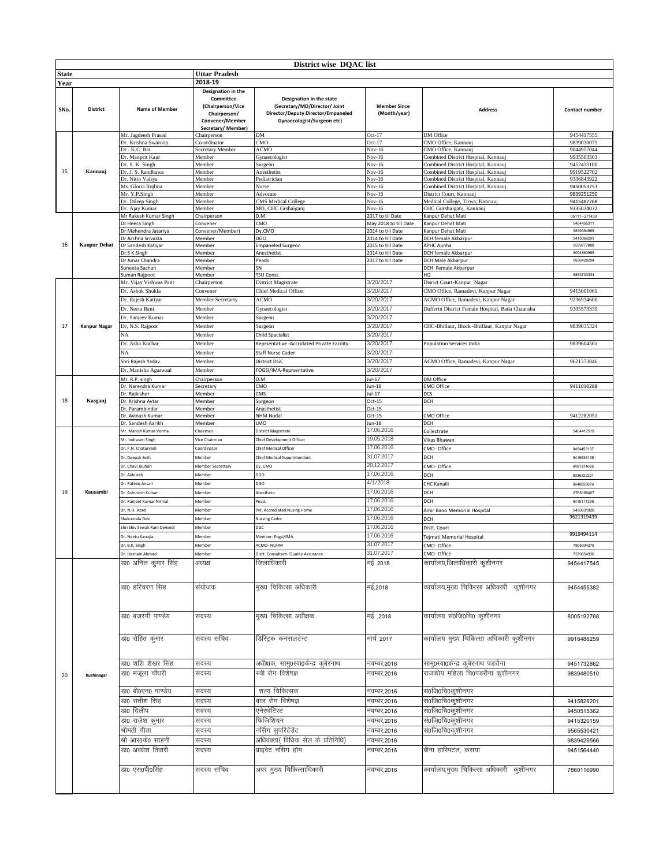| District wise DQAC list |                     |                                        |                                                                   |                                                                                                                                      |                                            |                                                            |                          |
|-------------------------|---------------------|----------------------------------------|-------------------------------------------------------------------|--------------------------------------------------------------------------------------------------------------------------------------|--------------------------------------------|------------------------------------------------------------|--------------------------|
| <b>State</b>            |                     |                                        | <b>Uttar Pradesh</b>                                              |                                                                                                                                      |                                            |                                                            |                          |
| Year                    |                     |                                        | 2018-19                                                           |                                                                                                                                      |                                            |                                                            |                          |
|                         |                     |                                        | Designation in the                                                |                                                                                                                                      |                                            |                                                            |                          |
| SNo.                    | <b>District</b>     | <b>Name of Member</b>                  | Committee<br>(Chairperson/Vice<br>Chairperson/<br>Convener/Member | Designation in the state<br>(Secretary/MD/Director/ Joint<br>Director/Deputy Director/Empaneled<br><b>Gynaecologist/Surgeon etc)</b> | <b>Member Since</b><br>(Month/year)        | <b>Address</b>                                             | Contact number           |
|                         |                     |                                        | Secretary/Member)                                                 |                                                                                                                                      |                                            |                                                            |                          |
|                         |                     | Mr. Jagdeesh Prasad                    | Chairperson                                                       | DM                                                                                                                                   | $Oct-17$                                   | DM Office                                                  | 9454417555               |
|                         |                     | Dr. Krishna Swaroop                    | Co-ordinator                                                      | CMO                                                                                                                                  | $Oct-17$                                   | CMO Office, Kannauj                                        | 9839030075               |
|                         |                     | Dr. K.C. Rai                           | Secretary Member                                                  | ACMO                                                                                                                                 | Nov-16                                     | CMO Office, Kannauj<br>Combined District Hospital, Kannauj | 9044957044<br>9935503503 |
|                         |                     | Dr. Manprit Kaur<br>Dr. S. K. Singh    | Member<br>Member                                                  | Gynaecologist<br>Surgeon                                                                                                             | Nov-16<br>Nov-16                           | Combined District Hospital, Kannauj                        | 9452433100               |
| 15                      | Kannauj             | Dr. J. S. Randhawa                     | Member                                                            | Anesthetist                                                                                                                          | Nov-16                                     | Combined District Hospital, Kannauj                        | 9919522702               |
|                         |                     | Dr. Nitin Vaisya                       | Member                                                            | Pediatrician                                                                                                                         | Nov-16                                     | Combined District Hospital, Kannauj                        | 9336843922               |
|                         |                     | Ms. Gloria Rojlina                     | Member                                                            | Nurse                                                                                                                                | Nov-16                                     | Combined District Hospital, Kannauj                        | 9450053753               |
|                         |                     | Mr. Y.P.Singh                          | Member                                                            | Advocate                                                                                                                             | Nov-16                                     | District Court, Kannauj                                    | 9839251250               |
|                         |                     | Dr. Dileep Singh                       | Member                                                            | CMS Medical College                                                                                                                  | Nov-16                                     | Medical College, Tirwa, Kannauj                            | 9415487268               |
|                         |                     | Dr. Ajay Kumar                         | Member                                                            | MO, CHC Grshaiganj                                                                                                                   | Nov-16                                     | CHC Gurshaiganj, Kannauj                                   | 9335074072               |
|                         |                     | Mr Rakesh Kumar Singh                  | Chairperson                                                       | D.M.                                                                                                                                 | 2017 to til Date                           | Kanpur Dehat Mati                                          | 05111-271433             |
|                         |                     | Or Heera Singh<br>Dr Mahendra Jatariya | Convener<br>Convener/Member)                                      | CMO<br>Dy.CMO                                                                                                                        | May 2018 to till Date<br>2014 to till Date | Kanpur Dehat Mati<br>Kanpur Dehat Mati                     | 9454455311<br>9839394989 |
|                         |                     | Dr Archna Srivasta                     | Member                                                            | DGO                                                                                                                                  | 2014 to till Date                          | DCH female Akbarpur                                        | 9415066293               |
| 16                      | <b>Kanpur Dehat</b> | Dr Sandesh Katiyar                     | Member                                                            | <b>Empaneled Surgeon</b>                                                                                                             | 2015 to till Date                          | APHC Aunha                                                 | 9559777888               |
|                         |                     | Dr S K Singh                           | Member                                                            | Anesthetist                                                                                                                          | 2014 to till Date                          | DCH female Akbarpur                                        | 8004863985               |
|                         |                     | Dr Amar Chandra                        | Member                                                            | Peads                                                                                                                                | 2017 to till Date                          | DCH Male Akbarpur                                          | 9936428204               |
|                         |                     | Suneeta Sachan                         | Member                                                            | SN                                                                                                                                   |                                            | DCH Female Akbarpur                                        |                          |
|                         |                     | suman Rajpoot                          | Member                                                            | TSU Const.                                                                                                                           |                                            | HQ                                                         | 8853733334               |
|                         |                     | Mr. Vijay Vishwas Pant                 | Chairperson                                                       | District Magistrate                                                                                                                  | 3/20/2017                                  | Disrict Court-Kanpur Nagar                                 |                          |
|                         |                     | Dr. Ashok Shukla                       | Convener                                                          | <b>Chief Medical Officer</b>                                                                                                         | 3/20/2017                                  | CMO Office, Ramadevi, Kanpur Nagar                         | 9415001061               |
|                         |                     | Dr. Rajesh Katiyar                     | Member Secretarty                                                 | <b>ACMO</b>                                                                                                                          | 3/20/2017                                  | ACMO Office, Ramadevi, Kanpur Nagar                        | 9236934600               |
|                         |                     | Dr. Neeta Rani                         | Member                                                            | Gynaecologist                                                                                                                        | 3/20/2017                                  | Dufferin District Female Hospital, Bada Chauraha           | 9305573339               |
|                         |                     | Dr. Sanjeev Kumar                      | Member                                                            | Surgeon                                                                                                                              | 3/20/2017                                  |                                                            |                          |
| 17                      | <b>Kanpur Nagar</b> | Dr, N.S. Rajpoot                       | Member                                                            | Surgeon                                                                                                                              | 3/20/2017                                  | CHC-Bhillaur, Block -Bhillaur, Kanpur Nagar                | 9839035324               |
|                         |                     |                                        | Member                                                            | <b>Child Spacialist</b>                                                                                                              | 3/20/2017                                  |                                                            |                          |
|                         |                     | Dr. Asha Kochar                        | Member                                                            | Reprsentative -Accridated Private Facility                                                                                           | 3/20/2017                                  | Population Services India                                  | 9839604561               |
|                         |                     | NA                                     |                                                                   |                                                                                                                                      | 3/20/2017                                  |                                                            |                          |
|                         |                     |                                        | Member                                                            | Staff Nurse Cader                                                                                                                    |                                            |                                                            |                          |
|                         |                     | Shri Rajesh Yadav                      | Member                                                            | District DGC                                                                                                                         | 3/20/2017                                  | ACMO Office, Ramadevi, Kanpur Nagar                        | 9621373846               |
|                         |                     | Dr. Manisha Agarwaal                   | Member                                                            | FOGSI/IMA-Reprsentative                                                                                                              | 3/20/2017                                  |                                                            |                          |
|                         |                     | Mr. R.P. singh                         | Chairperson                                                       | D.M.                                                                                                                                 | Jul-17                                     | DM Office                                                  |                          |
|                         |                     | Dr. Narendra Kumar                     | Secretary                                                         | CMO                                                                                                                                  | Jun-18                                     | CMO Office                                                 | 9411010288               |
| 18                      | Kasganj             | Dr. Rajkishor                          | Member                                                            | CMS                                                                                                                                  | $Jul-17$<br>$Oct-15$                       | DCS<br>DCH                                                 |                          |
|                         |                     | Dr. Krishna Avtar<br>Dr. Parambindar   | Member<br>Member                                                  | Surgeon<br>Anasthetist                                                                                                               | Oct-15                                     |                                                            |                          |
|                         |                     | Dr. Avinash Kumar                      | Member                                                            | NHM Nodal                                                                                                                            | $Oct-15$                                   | CMO Office                                                 | 9412282051               |
|                         |                     | Dr. Sandesh Aarikh                     | Member                                                            | LMO                                                                                                                                  | Jun-18                                     | DCH                                                        |                          |
|                         |                     | Mr. Manish Kumar Verma                 | Chairman                                                          | <b>District Magistrate</b>                                                                                                           | 17.06.2016                                 | Collectrate                                                | 9454417519               |
|                         |                     | Mr. Indrasen Singh                     | Vice Chairman                                                     | Chief Development Officer                                                                                                            | 19.05.2018                                 | Vikas Bhawan                                               |                          |
|                         |                     | Dr. P.N. Chaturvedi                    | Coordinator                                                       | Chief Medical Officer                                                                                                                | 17.06.2016                                 | CMO-Office                                                 | 9454455137               |
|                         |                     | Dr. Deepak Seth                        | Member                                                            | Chief Medical Supprintendent                                                                                                         | 31.07.2017                                 | DCH                                                        | 9415636195               |
|                         |                     | or. Chavi Jauhari                      | Member Secrettary                                                 | Dy. CMO                                                                                                                              | 20.12.2017                                 | CMO-Office                                                 | 9451374085               |
|                         |                     | Dr. Akhilesh                           | Member                                                            | DGO                                                                                                                                  | 17.06.2016                                 |                                                            |                          |
|                         |                     |                                        |                                                                   |                                                                                                                                      | 4/1/2018                                   | DCH                                                        | 9336322221               |
|                         |                     | Dr. Rafeeq Ansari                      | Member                                                            | DGO                                                                                                                                  |                                            | CHC Kanaili                                                | 9648835876               |
| 19                      | Kausambi            | Ir. Ashutosh Kumar                     | Member                                                            | Anesthetic                                                                                                                           | 17.06.2016                                 | DCH                                                        | 8765195407               |
|                         |                     | Dr. Ranieet Kumar Nirmal               | Member                                                            | Pead.                                                                                                                                | 17.06.2016                                 | DCH                                                        | 9415117295               |
|                         |                     | r. N.H. Azad                           | Member                                                            | Pyt. Accrediated Nusing Home                                                                                                         | 17.06.2016                                 | Amir Bano Memorial Hospital                                | 9450631020               |
|                         |                     | hakuntala Devi                         | Member                                                            | <b>Nursing Cadre</b>                                                                                                                 | 17.06.2016                                 | DCH                                                        | 9621319439               |
|                         |                     | Shri Shiv Sewak Ram Dwivedi            | Member                                                            | DGC                                                                                                                                  | 17.06.2016                                 | Distt. Court                                               |                          |
|                         |                     | Ir. Neetu Kanojia                      | Member                                                            | Member- Fogsi/IMA                                                                                                                    | 17.06.2016                                 | Tejmati Memorial Hospital                                  | 9919494114               |
|                         |                     | Dr. B.K. Singh                         | Member                                                            | ACMO-NUHM                                                                                                                            | 31.07.2017                                 | CMO- Office                                                | 7895004270               |
|                         |                     | Dr. Hasnain Ahmad                      | Member                                                            | Distt. Consultant- Quality Assurance                                                                                                 | 31.07.2017                                 | CMO- Office                                                | 7379654936               |
|                         |                     | डा0 अनिल कुमार सिंह                    | अध्यक्ष                                                           | जिलाधिकारी                                                                                                                           | मई 2018                                    | कार्यालय,जिलाधिकारी कुशीनगर                                | 9454417545               |
|                         |                     |                                        |                                                                   |                                                                                                                                      |                                            |                                                            |                          |
|                         |                     |                                        |                                                                   |                                                                                                                                      |                                            |                                                            |                          |
|                         |                     | डा0 हरिचरण सिंह                        | संयोजक                                                            | मुख्य चिकित्सा अधिकारी                                                                                                               | मई,2018                                    | कार्यालय,मुख्य चिकित्सा अधिकारी कुशीनगर                    | 9454455382               |
|                         |                     |                                        |                                                                   |                                                                                                                                      |                                            |                                                            |                          |
|                         |                     |                                        |                                                                   |                                                                                                                                      |                                            |                                                            |                          |
|                         |                     |                                        |                                                                   |                                                                                                                                      |                                            |                                                            |                          |
|                         |                     | डा0 बजरंगी पाण्डेय                     | सदस्य                                                             | मुख्य चिकित्सा अधीक्षक                                                                                                               | मई ,2018                                   | कार्यालय सं0जि0चि0 कुशीनगर                                 | 8005192768               |
|                         |                     |                                        |                                                                   |                                                                                                                                      |                                            |                                                            |                          |
|                         |                     |                                        |                                                                   |                                                                                                                                      |                                            |                                                            |                          |
|                         |                     | डा0 रोहित कुमार                        | सदस्य सचिव                                                        | डिस्ट्रिक कनसलटेन्ट                                                                                                                  | मार्च 2017                                 | कार्यालय मुख्य चिकित्सा अधिकारी कुशीनगर                    | 9918488259               |
|                         |                     |                                        |                                                                   |                                                                                                                                      |                                            |                                                            |                          |
|                         |                     |                                        |                                                                   |                                                                                                                                      |                                            |                                                            |                          |
|                         |                     | डा0 शशि शेखर सिंह                      | सदस्य                                                             | अधीक्षक, सामु0स्वा0केन्द्र कुबेरनाथ                                                                                                  | नवम्बर,2016                                | सामु0स्वा0केन्द्र कुबेरनाथ पडरौना                          | 9451732862               |
| 20                      | Kushinagar          | डा0 मंजूला चौधरी                       | सदस्य                                                             | स्त्री रोग विशेषज्ञ                                                                                                                  | नवम्बर,2016                                | राजकीय महिला चि0पडरौना कुशीनगर                             | 9839480510               |
|                         |                     |                                        |                                                                   |                                                                                                                                      |                                            |                                                            |                          |
|                         |                     | डा0 बी0एन0 पाण्डेय                     | सदस्य                                                             | शल्य चिकित्सक                                                                                                                        | नवम्बर,2016                                | सं0जि0चि0कुशीनगर                                           |                          |
|                         |                     | डा0 सतीश सिंह                          | सदस्य                                                             | बाल रोग विशेषज्ञ                                                                                                                     | नवम्बर,2016                                | सं0जि0चि0कुशीनगर                                           | 9415828201               |
|                         |                     |                                        |                                                                   |                                                                                                                                      |                                            |                                                            |                          |
|                         |                     | डा0 दिलीप                              | सदस्य                                                             | एनेस्थेटिस्ट                                                                                                                         | नवम्बर,2016                                | सं0जि0चि0कुशीनगर                                           | 9450515362               |
|                         |                     | डा0 राजेश कुमार                        | सदस्य                                                             | फिजिशियन                                                                                                                             | नवम्बर,2016                                | सं0जि0चि0कुशीनगर                                           | 9415320159               |
|                         |                     | श्रीमती गीता                           | सदस्य                                                             | नसिंग सुपरिटेंडेंट                                                                                                                   | नवम्बर,2016                                | सं0जि0चि0कुशीनगर                                           | 9565530421               |
|                         |                     | श्री आर0के0 साहनी                      | सदस्य                                                             | अधिवक्ता( विधिक सेल के प्रतिनिधि)                                                                                                    | नवम्बर,2016                                |                                                            | 9839429566               |
|                         |                     | डा0 अवधेश तिवारी                       | सदस्य                                                             | प्राइवेट नसिंग होम                                                                                                                   | नवम्बर,2016                                | बीना हास्पिटल, कसया                                        | 9451564440               |
|                         |                     |                                        |                                                                   |                                                                                                                                      |                                            |                                                            |                          |
|                         |                     |                                        |                                                                   |                                                                                                                                      |                                            |                                                            |                          |
|                         |                     | डा0 एस0पी0सिंह                         | सदस्य सचिव                                                        | अपर मुख्य चिकित्साधिकारी                                                                                                             | नवम्बर,2016                                | कार्यालय,मुख्य चिकित्सा अधिकारी  कुशीनगर                   | 7860116990               |
|                         |                     |                                        |                                                                   |                                                                                                                                      |                                            |                                                            |                          |
|                         |                     |                                        |                                                                   |                                                                                                                                      |                                            |                                                            |                          |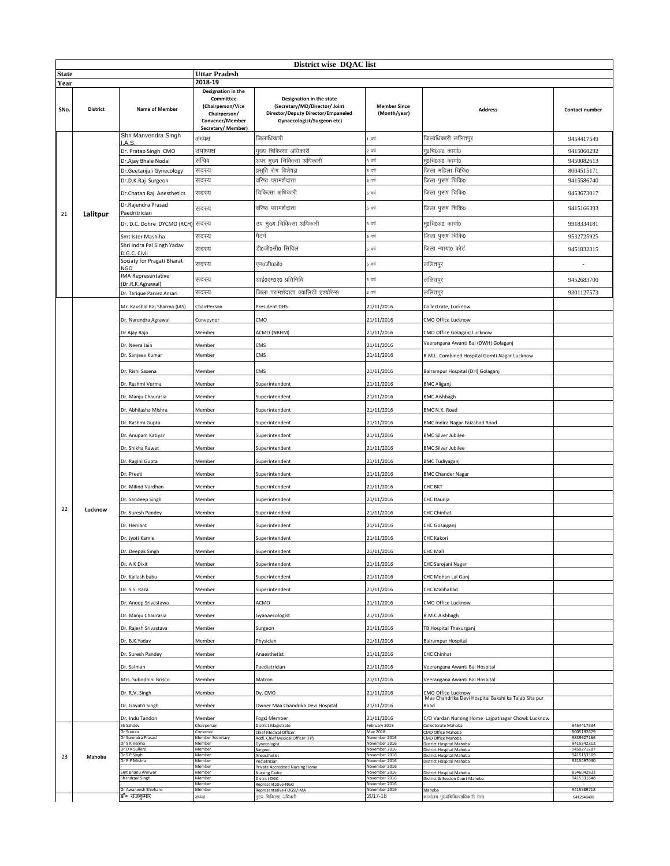|              | District wise DQAC list |                                               |                                                                                                              |                                                                                                                               |                                     |                                                              |                          |  |
|--------------|-------------------------|-----------------------------------------------|--------------------------------------------------------------------------------------------------------------|-------------------------------------------------------------------------------------------------------------------------------|-------------------------------------|--------------------------------------------------------------|--------------------------|--|
| <b>State</b> |                         |                                               | <b>Uttar Pradesh</b>                                                                                         |                                                                                                                               |                                     |                                                              |                          |  |
| Year         |                         |                                               | 2018-19                                                                                                      |                                                                                                                               |                                     |                                                              |                          |  |
| SNo.         | District                | <b>Name of Member</b>                         | Designation in the<br>Committee<br>(Chairperson/Vice<br>Chairperson/<br>Convener/Member<br>Secretary/Member) | Designation in the state<br>(Secretary/MD/Director/ Joint<br>Director/Deputy Director/Empaneled<br>Gynaecologist/Surgeon etc) | <b>Member Since</b><br>(Month/year) | <b>Address</b>                                               | Contact number           |  |
|              |                         | Shri Manvendra Singh                          | अध्यक्ष                                                                                                      | जिलाधिकारी                                                                                                                    | वर्ष                                | जिलाधिकारी ललितपुर                                           | 9454417549               |  |
|              |                         | I.A.S<br>Dr. Pratap Singh CMO                 | उपाध्यक्ष                                                                                                    | मुख्य चिकित्सा अधिकारी                                                                                                        | 2 वर्ष                              | मु0चि0अ0 कार्या0                                             | 9415060292               |  |
|              |                         | Dr.Ajay Bhale Nodal                           | सचिव                                                                                                         | अपर मुख्य चिकित्सा अधिकारी                                                                                                    | ३ वर्ष                              | मु0चि0अ0 कार्या0                                             | 9450082613               |  |
|              |                         | Dr.Geetanjali Gynecology                      | सदस्य                                                                                                        | प्रसूति रोग बिशेषज्ञ                                                                                                          | 5 वर्ष                              | जिला महिला चिकि0                                             | 8004515171               |  |
|              |                         | Dr.D.K.Raj Surgeon                            | सदस्य                                                                                                        | वरिष्ठ परामर्शदाता                                                                                                            | , वर्ष                              | जिला पुरूष चिकि0                                             | 9415586740               |  |
|              |                         | Dr.Chatan Raj Anesthetics                     | सदस्य                                                                                                        | चिकित्सा अधिकारी                                                                                                              | 5 वर्ष                              | जिला पुरूष चिकि0                                             | 9453673017               |  |
| 21           | Lalitpur                | Dr.Rajendra Prasad<br>Paedritrician           | सदस्य                                                                                                        | वरिष्ठ परामर्शदाता                                                                                                            | 5 वर्ष                              | जिला पुरूष चिकि0                                             | 9415166393               |  |
|              |                         | Dr. D.C. Dohre DYCMO (RCH) सदस्य              |                                                                                                              | उप मुख्य चिकित्सा अधिकारी                                                                                                     | 5 वर्ष                              | मु0चि0अ0 कार्या0                                             | 9918334181               |  |
|              |                         | Smt Ister Mashiha                             | सदस्य                                                                                                        | मैटर्न                                                                                                                        | 5 यर्थ                              | जिला पुरूष चिकि0                                             | 9532725925               |  |
|              |                         | Shri Indra Pal Singh Yadav<br>D.G.C. Civil    | सदस्य                                                                                                        | डी0जी0सी0 सिविल                                                                                                               | 5 वर्ष                              | जिला न्याया0 कोर्ट                                           | 9451832315               |  |
|              |                         | Sociaty for Pragati Bharat<br><b>NGO</b>      | सदस्य                                                                                                        | एन0जी0ओ0                                                                                                                      | 5 वर्ष                              | ललितपुर                                                      | $\overline{\phantom{a}}$ |  |
|              |                         | <b>IMA Representative</b><br>(Dr.R.K.Agrawal) | सदस्य                                                                                                        | आई०एम०ए० प्रतिनिधि                                                                                                            | 5 वर्ष                              | ललितपुर                                                      | 9452683700               |  |
|              |                         | Dr. Tarique Parvez Ansari                     | सदस्य                                                                                                        | जिला परामर्शदाता क्वालिटी एश्योरेन्स                                                                                          | 2 यर्ष                              | ललितपुर                                                      | 9301127573               |  |
|              |                         | Mr. Kaushal Raj Sharma (IAS)                  | ChairPerson                                                                                                  | President DHS                                                                                                                 | 21/11/2016                          | Collectrate, Lucknow                                         |                          |  |
|              |                         | Dr. Narendra Agrawal                          | Conveynor                                                                                                    | CMO                                                                                                                           | 21/11/2016                          | CMO Office Lucknow                                           |                          |  |
|              |                         | Dr. Ajay Raja                                 | Member                                                                                                       | ACMO (NRHM)                                                                                                                   | 21/11/2016                          | CMO Office Golaganj Lucknow                                  |                          |  |
|              |                         | Dr. Neera Jain                                | Member                                                                                                       | CMS                                                                                                                           | 21/11/2016                          | Veerangana Awanti Bai (DWH) Golaganj                         |                          |  |
|              |                         | Dr. Sanjeev Kumar                             | Member                                                                                                       | CMS                                                                                                                           | 21/11/2016                          | R.M.L. Combined Hospital Gomti Nagar Lucknow                 |                          |  |
|              |                         | Dr. Rishi Saxena                              | Member                                                                                                       | CMS                                                                                                                           | 21/11/2016                          | Balrampur Hospital (DH) Golaganj                             |                          |  |
|              |                         | Dr. Rashmi Verma                              | Member                                                                                                       | Superintendent                                                                                                                | 21/11/2016                          | <b>BMC Aliganj</b>                                           |                          |  |
|              |                         | Dr. Manju Chaurasia                           | Member                                                                                                       | Superintendent                                                                                                                | 21/11/2016                          | <b>BMC Aishbagh</b>                                          |                          |  |
|              |                         | Dr. Abhilasha Mishra                          | Member                                                                                                       | Superintendent                                                                                                                | 21/11/2016                          | BMC N.K. Road                                                |                          |  |
|              |                         | Dr. Rashmi Gupta                              | Member                                                                                                       | Superintendent                                                                                                                | 21/11/2016                          | BMC Indira Nagar Faizabad Road                               |                          |  |
|              |                         | Dr. Anupam Katiyar                            | Member                                                                                                       | Superintendent                                                                                                                | 21/11/2016                          | <b>BMC Silver Jubilee</b>                                    |                          |  |
|              |                         | Dr. Shikha Rawat                              | Member                                                                                                       | Superintendent                                                                                                                | 21/11/2016                          | <b>BMC Silver Jubilee</b>                                    |                          |  |
|              |                         | Dr. Ragini Gupta                              | Member                                                                                                       | Superintendent                                                                                                                | 21/11/2016                          | <b>BMC Tudiyaganj</b>                                        |                          |  |
|              |                         | Dr. Preeti                                    | Member                                                                                                       | Superintendent                                                                                                                | 21/11/2016                          | <b>BMC Chander Nagar</b>                                     |                          |  |
|              |                         | Dr. Milind Vardhan                            | Member                                                                                                       | Superintendent                                                                                                                | 21/11/2016                          | CHC BKT                                                      |                          |  |
|              |                         | Dr. Sandeep Singh                             | Member                                                                                                       | Superintendent                                                                                                                | 21/11/2016                          | CHC Itaunja                                                  |                          |  |
| 22           | Lucknow                 | Dr. Suresh Pandey                             | Member                                                                                                       | Superintendent                                                                                                                | 21/11/2016                          | <b>CHC Chinhat</b>                                           |                          |  |
|              |                         | Dr. Hemant                                    | Member                                                                                                       | Superintendent                                                                                                                | 21/11/2016                          | CHC Gosaiganj                                                |                          |  |
|              |                         | Dr. Jyoti Kamle                               | Member                                                                                                       | Superintendent                                                                                                                | 21/11/2016                          | CHC Kakori                                                   |                          |  |
|              |                         | Dr. Deepak Singh                              | Member                                                                                                       | Superintendent                                                                                                                | 21/11/2016                          | CHC Mall                                                     |                          |  |
|              |                         | Dr. A K Dixit                                 | Member                                                                                                       | Superintendent                                                                                                                | 21/11/2016                          | CHC Sarojani Nagar                                           |                          |  |
|              |                         | Dr. Kailash babu                              | Member                                                                                                       | Superintendent                                                                                                                | 21/11/2016                          | CHC Mohan Lal Ganj                                           |                          |  |
|              |                         | Dr. S.S. Raza                                 | Member                                                                                                       | Superintendent                                                                                                                | 21/11/2016                          | CHC Malihabad                                                |                          |  |
|              |                         | Dr. Anoop Srivastawa                          | Member                                                                                                       | ACMO                                                                                                                          | 21/11/2016                          | CMO Office Lucknow                                           |                          |  |
|              |                         | Dr. Manju Chaurasia                           | Member                                                                                                       | Gyanaecologist                                                                                                                | 21/11/2016                          | <b>B.M.C Aishbagh</b>                                        |                          |  |
|              |                         | Dr. Rajesh Srivastava                         | Member                                                                                                       | Surgeon                                                                                                                       | 21/11/2016                          | TB Hospital Thakurganj                                       |                          |  |
|              |                         | Dr. B.K.Yadav                                 | Member                                                                                                       | Physician                                                                                                                     | 21/11/2016                          | <b>Balrampur Hospital</b>                                    |                          |  |
|              |                         | Dr. Suresh Pandey                             | Member                                                                                                       | Anaesthetist                                                                                                                  | 21/11/2016                          | CHC Chinhat                                                  |                          |  |
|              |                         | Dr. Salman                                    | Member                                                                                                       | Paediatrician                                                                                                                 | 21/11/2016                          | Veerangana Awanti Bai Hospital                               |                          |  |
|              |                         | Mrs. Subodhini Brisco                         | Member                                                                                                       | Matron                                                                                                                        | 21/11/2016                          | Veerangana Awanti Bai Hospital                               |                          |  |
|              |                         | Dr. R.V. Singh                                | Member                                                                                                       | Dy. CMO                                                                                                                       | 21/11/2016                          | CMO Office Lucknow                                           |                          |  |
|              |                         | Dr. Gayatri Singh                             | Member                                                                                                       | Owner Maa Chandrika Devi Hospital                                                                                             | 21/11/2016                          | Maa Chandrika Devi Hospital Bakshi ka Talab Sita pur<br>Road |                          |  |
|              |                         | Dr. Indu Tandon                               | Member                                                                                                       | Fogsi Member                                                                                                                  | 21/11/2016                          | C/O Vardan Nursing Home Lajpatnagar Chowk Lucknow            |                          |  |
|              |                         | Sh Sahdev<br>Dr Suman                         | Chairperson<br>Convenor                                                                                      | District Magistrate<br>Chief Medical Officer                                                                                  | February 2018<br>May 2018           | Collectorate Mahoba<br>CMO Office Mahoba                     | 9454417534<br>8005192679 |  |
|              |                         | Dr Surendra Prasad<br>Dr S K Verma            | <b>Member Secretary</b><br>Member                                                                            | Addl. Chief Medical Officer (FP)<br>Gynecologist                                                                              | November 2016<br>November 2016      | CMO Office Mahoba<br>District Hospital Mahoba                | 9839627166<br>9415542312 |  |
| 23           | Mahoba                  | Dr D K Sullere<br>Dr S P Singh                | Member<br>Member                                                                                             | Surgeon<br>Aneasthetist                                                                                                       | November 2016<br>November 2016      | District Hospital Mahoba<br>District Hospital Mahoba         | 9450271287<br>9415153309 |  |
|              |                         | Dr R P Mishra                                 | Member<br>Member                                                                                             | Pediatrician<br><b>Private Accredited Nursing Home</b>                                                                        | November 2016<br>November 2016      | District Hospital Mahoba                                     | 9415497030               |  |
|              |                         | Smt Bhanu Ahirwar<br>Sh Indroal Singh         | Member<br>Member                                                                                             | <b>Nursing Cadre</b><br><b>District DGC</b>                                                                                   | November 2016<br>November 2016      | District Hospital Mahoba<br>District & Session Court Mahoba  | 8546042833<br>9415331848 |  |
|              |                         | Dr Awaneesh Shivhare                          | Member<br>Member                                                                                             | Representative-NGO<br>Representative-FOGSI/IMA                                                                                | November 2016<br>November 2016      | Mahoba                                                       | 9415589718               |  |
|              |                         | डॉ॰ राजकमार                                   | अध्यक्ष                                                                                                      | मुख्य चिकित्सा अधिकरी                                                                                                         | 2017-18                             | कार्यालय मुख्यचिकित्साधिकारी मेरठ                            | 9412546439               |  |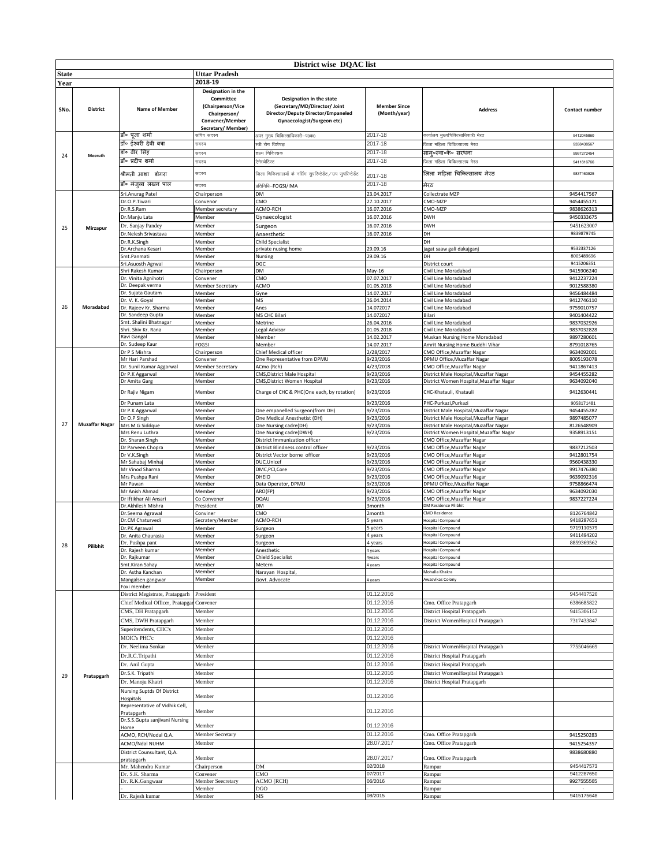|       |                       |                                             |                                                                                                              | District wise DOAC list                                                                                                       |                                     |                                                               |                          |
|-------|-----------------------|---------------------------------------------|--------------------------------------------------------------------------------------------------------------|-------------------------------------------------------------------------------------------------------------------------------|-------------------------------------|---------------------------------------------------------------|--------------------------|
| State |                       |                                             | <b>Uttar Pradesh</b>                                                                                         |                                                                                                                               |                                     |                                                               |                          |
| Year  |                       |                                             | 2018-19                                                                                                      |                                                                                                                               |                                     |                                                               |                          |
| SNo.  | <b>District</b>       | <b>Name of Member</b>                       | Designation in the<br>Committee<br>(Chairperson/Vice<br>Chairperson/<br>Convener/Member<br>Secretary/Member) | Designation in the state<br>(Secretary/MD/Director/ Joint<br>Director/Deputy Director/Empaneled<br>Gynaecologist/Surgeon etc) | <b>Member Since</b><br>(Month/year) | <b>Address</b>                                                | Contact number           |
|       |                       | डॉ॰ पूजा शर्मा                              | सचिव सदस्य                                                                                                   | अपर मुख्य चिकित्साधिकारी-प0क0                                                                                                 | 2017-18                             | कार्यालय मुख्यचिकित्साधिकारी मेरठ                             | 9412045860               |
|       |                       | डॉ॰ ईश्वरी देवी बत्रा                       | सदस्य                                                                                                        | स्त्री रोग विशेषज्ञ                                                                                                           | 2017-18                             | जिला महिला चिकित्सालय मेरठ                                    | 9358438567               |
| 24    | Meeruth               | डॉ॰ वीर सिंह                                | सदस्य                                                                                                        | शल्य चिकित्सक                                                                                                                 | 2017-18                             | साम०स्वा०के० सरधना                                            | 9997272454               |
|       |                       | डॉ॰ प्रदीप शर्मा                            | सदस्य                                                                                                        | ,<br>रेनेस्थेटिस्ट                                                                                                            | 2017-18                             | जिला महिला चिकित्सालय मेरठ                                    | 9411816766               |
|       |                       | श्रीमती आशा डोगरा                           | सदस्य                                                                                                        | .<br>जिला चिकित्सालयों के नर्सिंग सुपरिन्टेडेंट ⁄ उप सुपरिन्टेडेंट                                                            |                                     | जिला महिला चिकित्सालय मेरठ                                    | 9837163925               |
|       |                       |                                             |                                                                                                              |                                                                                                                               | 2017-18                             |                                                               |                          |
|       |                       | डॉ॰ मंजुला लखन पाल                          | सदस्य                                                                                                        | प्रतिनिधि–FOGSI/IMA                                                                                                           | 2017-18                             | मेरठ                                                          |                          |
|       |                       | Sri.Anurag Patel<br>Dr.O.P.Tiwari           | Chairperson<br>Convenor                                                                                      | DM<br>CMO                                                                                                                     | 23.04.2017<br>27.10.2017            | Collectrate MZP<br>CMO-MZP                                    | 9454417567<br>9454455171 |
|       |                       | Dr.R.S.Ram                                  | Member secretary                                                                                             | ACMO-RCH                                                                                                                      | 16.07.2016                          | CMO-MZP                                                       | 9838626313               |
|       |                       | Dr.Manju Lata                               | Member                                                                                                       | Gynaecologist                                                                                                                 | 16.07.2016                          | <b>DWH</b>                                                    | 9450333675               |
| 25    | Mirzapur              | Dr. Sanjay Pandey                           | Member                                                                                                       | Surgeon                                                                                                                       | 16.07.2016                          | <b>DWH</b>                                                    | 9451623007               |
|       |                       | Dr.Nelesh Srivastava                        | Member                                                                                                       | Anaesthetic                                                                                                                   | 16.07.2016                          | DH                                                            | 9839879745               |
|       |                       | Dr.R.K.Singh                                | Member                                                                                                       | <b>Child Specialist</b>                                                                                                       |                                     | DH                                                            |                          |
|       |                       | Dr.Archana Kesari<br>Smt.Panmati            | Member<br>Member                                                                                             | private nusing home<br>Nursing                                                                                                | 29.09.16<br>29.09.16                | jagat saaw gali dakajganj<br>DH                               | 9532337126<br>8005489696 |
|       |                       | Sri.Asuosth Agrwal                          | Member                                                                                                       | DGC                                                                                                                           |                                     | District court                                                | 9415206351               |
|       |                       | Shri Rakesh Kumar                           | Chairperson                                                                                                  | DM                                                                                                                            | $May-16$                            | Civil Line Moradabad                                          | 9415906240               |
|       |                       | Dr. Vinita Agnihotri                        | Convener                                                                                                     | CMO                                                                                                                           | 07.07.2017                          | Civil Line Moradabad                                          | 9412237224               |
|       |                       | Dr. Deepak verma                            | <b>Member Secretary</b>                                                                                      | <b>ACMO</b>                                                                                                                   | 01.05.2018                          | Civil Line Moradabad                                          | 9012588380               |
|       |                       | Dr. Sujata Gautam<br>Dr. V. K. Goyal        | Member<br>Member                                                                                             | Gyne<br>MS                                                                                                                    | 14.07.2017<br>26.04.2014            | Civil Line Moradabad<br>Civil Line Moradabad                  | 9456484484<br>9412746110 |
| 26    | Moradabad             | Dr. Rajeev Kr. Sharma                       | Member                                                                                                       | Anes                                                                                                                          | 14.072017                           | Civil Line Moradabad                                          | 9759010757               |
|       |                       | Dr. Sandeep Gupta                           | Member                                                                                                       | MS CHC Bilari                                                                                                                 | 14.072017                           | Bilari                                                        | 9401404422               |
|       |                       | Smt. Shalini Bhatnagar                      | Member                                                                                                       | Metrine                                                                                                                       | 26.04.2016                          | Civil Line Moradabad                                          | 9837032926               |
|       |                       | Shri. Shiv Kr. Rana                         | Member                                                                                                       | Legal Advisor                                                                                                                 | 01.05.2018                          | Civil Line Moradabad                                          | 9837032828               |
|       |                       | Ravi Gangal<br>Dr. Sudeep Kaur              | Member                                                                                                       | Member                                                                                                                        | 14.02.2017                          | Muskan Nursing Home Moradabad                                 | 9897280601               |
|       |                       | Dr P S Mishra                               | <b>FOGSI</b><br>Chairperson                                                                                  | Member<br>Chief Medical officer                                                                                               | 14.07.2017<br>2/28/2017             | Amrit Nursing Home Buddhi Vihar<br>CMO Office, Muzaffar Nagar | 8791018765<br>9634092001 |
|       |                       | Mr Hari Parshad                             | Convener                                                                                                     | One Representative from DPMU                                                                                                  | 9/23/2016                           | DPMU Office, Muzaffar Nagar                                   | 8005193078               |
|       |                       | Dr. Sunil Kumar Aggarwal                    | Member Secretary                                                                                             | ACmo (Rch)                                                                                                                    | 4/23/2018                           | CMO Office, Muzaffar Nagar                                    | 9411867413               |
|       |                       | Dr P.K Aggarwal                             | Member                                                                                                       | CMS, District Male Hospital                                                                                                   | 9/23/2016                           | District Male Hospital, Muzaffar Nagar                        | 9454455282               |
|       |                       | Dr Amita Garg                               | Member                                                                                                       | CMS, District Women Hospital                                                                                                  | 9/23/2016                           | District Women Hospital, Muzaffar Nagar                       | 9634092040               |
|       |                       | Dr Rajiv Nigam<br>Dr Punam Lata             | Member<br>Member                                                                                             | Charge of CHC & PHC(One each, by rotation)                                                                                    | 9/23/2016<br>9/23/2016              | CHC-Khatauli, Khatauli<br>PHC-Purkazi, Purkazi                | 9412630441<br>9058171481 |
|       |                       | Dr P.K Aggarwal                             | Member                                                                                                       | One empanelled Surgeon(from DH)                                                                                               | 9/23/2016                           | District Male Hospital, Muzaffar Nagar                        | 9454455282               |
|       | <b>Muzaffar Nagar</b> | Or O.P Singh                                | Member                                                                                                       | One Medical Anesthetist (DH)                                                                                                  | 9/23/2016                           | District Male Hospital, Muzaffar Nagar                        | 9897485077               |
| 27    |                       | Mrs M G Siddque                             | Member                                                                                                       | One Nursing cadre(DH)                                                                                                         | 9/23/2016                           | District Male Hospital, Muzaffar Nagar                        | 8126548909               |
|       |                       | Mrs Renu Luthra<br>Dr. Sharan Singh         | Member<br>Member                                                                                             | One Nursing cadre(DWH)<br>District Immunization officer                                                                       | 9/23/2016                           | District Women Hospital, Muzaffar Nagar                       | 9358913151               |
|       |                       | Or Parveen Chopra                           | Member                                                                                                       | District Blindness control officer                                                                                            | 9/23/2016                           | CMO Office, Muzaffar Nagar<br>CMO Office, Muzaffar Nagar      | 9837212503               |
|       |                       | Dr V.K.Singh                                | Member                                                                                                       | District Vector borne officer                                                                                                 | 9/23/2016                           | CMO Office, Muzaffar Nagar                                    | 9412801754               |
|       |                       | Mr Sahabaj Minhaj                           | Member                                                                                                       | DUC, Unicef                                                                                                                   | 9/23/2016                           | CMO Office, Muzaffar Nagar                                    | 9560438330               |
|       |                       | Mr Vinod Sharma                             | Member                                                                                                       | DMC,PCI,Core                                                                                                                  | 9/23/2016                           | CMO Office, Muzaffar Nagar                                    | 9917476380               |
|       |                       | Mrs Pushpa Rani                             | Member                                                                                                       | DHEIO                                                                                                                         | 9/23/2016                           | CMO Office, Muzaffar Nagar                                    | 9639092316               |
|       |                       | Mr Pawan<br>Mr Anish Ahmad                  | Member<br>Member                                                                                             | Data Operator, DPMU<br>ARO(FP)                                                                                                | 9/23/2016<br>9/23/2016              | DPMU Office, Muzaffar Nagar<br>CMO Office, Muzaffar Nagar     | 9758866474<br>9634092030 |
|       |                       | Dr Iftikhar Ali Ansari                      | Co Convener                                                                                                  | DQAU                                                                                                                          | 9/23/2016                           | CMO Office, Muzaffar Nagar                                    | 9837227224               |
|       |                       | Dr.Akhilesh Mishra                          | President                                                                                                    | DM                                                                                                                            | 3month                              | <b>DM Residence Pilibhit</b>                                  |                          |
|       |                       | Dr.Seema Agrawal                            | Conviner                                                                                                     | CMO                                                                                                                           | 2month                              | <b>CMO Residence</b>                                          | 8126764842               |
|       |                       | Dr.CM Chaturvedi                            | Secratery/Member                                                                                             | ACMO-RCH                                                                                                                      | 5 years<br>5 years                  | <b>Hospital Compound</b><br><b>Hospital Compound</b>          | 9418287651<br>9719110579 |
|       |                       | Dr.PK Agrawal<br>Dr. Anita Chaurasia        | Member<br>Member                                                                                             | Surgeon<br>Surgeon                                                                                                            | 4 years                             | <b>Hospital Compound</b>                                      | 9411494202               |
| 28    | Pilibhit              | Dr. Pushpa pant                             | Member                                                                                                       | Surgeon                                                                                                                       | 4 years                             | Hospital Compound                                             | 8859369562               |
|       |                       | Dr. Rajesh kumar                            | Member                                                                                                       | Anesthetic                                                                                                                    | 4 years                             | Hospital Compound                                             |                          |
|       |                       | Dr. Rajkumar                                | Member                                                                                                       | <b>Chield Specialist</b>                                                                                                      | 4years                              | <b>Hospital Compound</b>                                      |                          |
|       |                       | Smt.Kiran Sahay<br>Dr. Astha Kanchan        | Member<br>Member                                                                                             | Metern<br>Narayan Hospital,                                                                                                   | 4 years                             | <b>Hospital Compound</b><br>Mohalla Khakra                    |                          |
|       |                       | Mangalsen gangwar                           | Member                                                                                                       | Govt. Advocate                                                                                                                | 4 years                             | Awasvikas Colony                                              |                          |
|       |                       | Foxi member                                 |                                                                                                              |                                                                                                                               |                                     |                                                               |                          |
|       |                       | District Megistrate, Pratapgarh             | President                                                                                                    |                                                                                                                               | 01.12.2016                          |                                                               | 9454417520               |
|       |                       | Chief Medical Officer, Pratapgar            | Convener                                                                                                     |                                                                                                                               | 01.12.2016                          | Cmo. Office Pratapgarh                                        | 6386685822               |
|       |                       | CMS, DH Pratapgarh                          | Member                                                                                                       |                                                                                                                               | 01.12.2016                          | District Hospital Pratapgarh                                  | 9415306152               |
|       |                       | CMS, DWH Pratapgarh                         | Member                                                                                                       |                                                                                                                               | 01.12.2016                          | District WomenHospital Pratapgarh                             | 7317433847               |
|       |                       | Superitendents, CHC's                       | Member                                                                                                       |                                                                                                                               | 01.12.2016                          |                                                               |                          |
|       |                       | MOIC's PHC'c                                | Member                                                                                                       |                                                                                                                               | 01.12.2016                          |                                                               |                          |
|       |                       | Dr. Neelima Sonkar                          | Member                                                                                                       |                                                                                                                               | 01.12.2016                          | District WomenHospital Pratapgarh                             | 7755046669               |
|       |                       | Dr.R.C.Tripathi                             | Member                                                                                                       |                                                                                                                               | 01.12.2016                          | District Hospital Pratapgarh                                  |                          |
|       |                       | Dr. Anil Gupta                              | Member                                                                                                       |                                                                                                                               | 01.12.2016                          | District Hospital Pratapgarh                                  |                          |
| 29    | Pratapgarh            | Dr.S.K. Tripathi                            | Member                                                                                                       |                                                                                                                               | 01.12.2016                          | District WomenHospital Pratapgarh                             |                          |
|       |                       | Dr. Manoju Khatri                           | Member                                                                                                       |                                                                                                                               | 01.12.2016                          | District Hospital Pratapgarh                                  |                          |
|       |                       | Nursing Suptds Of District                  | Member                                                                                                       |                                                                                                                               | 01.12.2016                          |                                                               |                          |
|       |                       | Hospitals<br>Representative of Vidhik Cell, |                                                                                                              |                                                                                                                               | 01.12.2016                          |                                                               |                          |
|       |                       | ratapgarh<br>Dr.S.S.Gupta sanjivani Nursing | Member<br>Member                                                                                             |                                                                                                                               | 01.12.2016                          |                                                               |                          |
|       |                       | Home<br>ACMO, RCH/Nodal Q.A.                | Member Secretary                                                                                             |                                                                                                                               | 01.12.2016                          | Cmo. Office Pratapgarh                                        | 9415250283               |
|       |                       | ACMO/Ndal NUHM                              | Member                                                                                                       |                                                                                                                               | 28.07.2017                          | Cmo. Office Pratapgarh                                        | 9415254357               |
|       |                       | District Counsultant, Q.A.                  |                                                                                                              |                                                                                                                               |                                     |                                                               | 9838680880               |
|       |                       | oratapgarh                                  | Member                                                                                                       |                                                                                                                               | 28.07.2017                          | Cmo. Office Pratapgarh                                        |                          |
|       |                       | Mr. Mahendra Kumar                          | Chairperson                                                                                                  | DM<br>CMO                                                                                                                     | 02/2018<br>07/2017                  | Rampur                                                        | 9454417573<br>9412287650 |
|       |                       | Dr. S.K. Sharma<br>Dr. R.K.Gangwaar         | Convener<br>Member Seecretary                                                                                | ACMO (RCH)                                                                                                                    | 06/2016                             | Rampur<br>Rampur                                              | 9927555565               |
|       |                       |                                             | Member                                                                                                       | DGO                                                                                                                           |                                     | Rampur                                                        |                          |
|       |                       | Dr. Rajesh kumar                            | Member                                                                                                       | MS                                                                                                                            | 08/2015                             | Rampur                                                        | 9415175648               |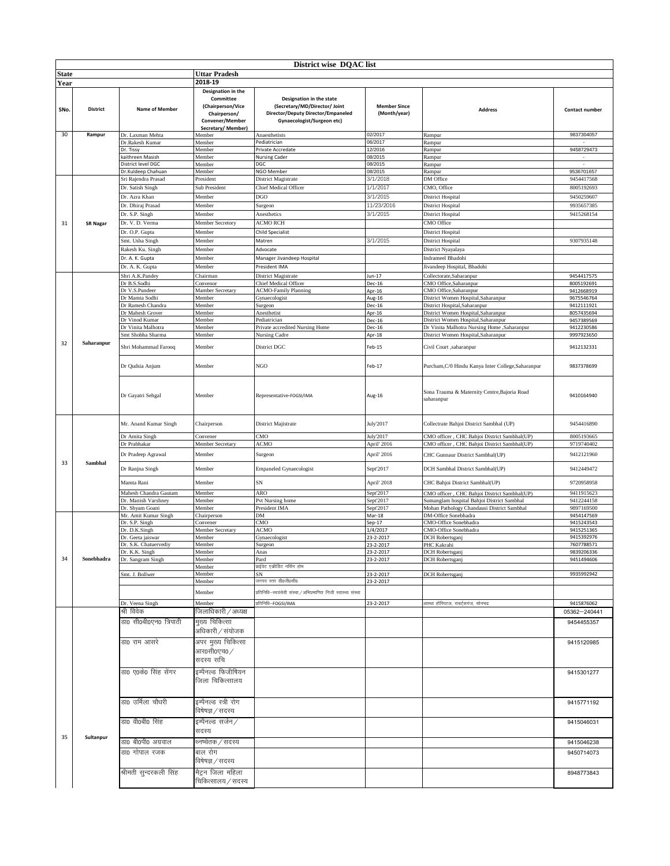|              | District wise DQAC list |                                            |                                                                                        |                                                                                                                               |                                     |                                                            |                          |  |
|--------------|-------------------------|--------------------------------------------|----------------------------------------------------------------------------------------|-------------------------------------------------------------------------------------------------------------------------------|-------------------------------------|------------------------------------------------------------|--------------------------|--|
| <b>State</b> |                         |                                            | Uttar Pradesh                                                                          |                                                                                                                               |                                     |                                                            |                          |  |
| Year         |                         |                                            | 2018-19                                                                                |                                                                                                                               |                                     |                                                            |                          |  |
|              |                         |                                            | Designation in the                                                                     |                                                                                                                               |                                     |                                                            |                          |  |
| SNo.         | <b>District</b>         | <b>Name of Member</b>                      | Committee<br>(Chairperson/Vice<br>Chairperson/<br>Convener/Member<br>Secretary/Member) | Designation in the state<br>(Secretary/MD/Director/ Joint<br>Director/Deputy Director/Empaneled<br>Gynaecologist/Surgeon etc) | <b>Member Since</b><br>(Month/year) | <b>Address</b>                                             | Contact number           |  |
| 30           | Rampur                  | Dr. Laxman Mehta                           | Member                                                                                 | Anaesthetists                                                                                                                 | 02/2017                             | Rampur                                                     | 9837304057               |  |
|              |                         | Dr.Rakesh Kumar                            | Member                                                                                 | Pediatrician                                                                                                                  | 06/2017                             | Rampur                                                     |                          |  |
|              |                         | Dr. Tissy                                  | Member                                                                                 | Private Accredate                                                                                                             | 12/2016                             | Rampur                                                     | 9458729473               |  |
|              |                         | kaithreen Masish                           | Member                                                                                 | <b>Nursing Cader</b>                                                                                                          | 08/2015                             | Rampur                                                     | $\overline{\phantom{a}}$ |  |
|              |                         | District level DGC                         | Member                                                                                 | DGC                                                                                                                           | 08/2015                             | Rampur                                                     |                          |  |
|              |                         | Dr.Kuldeep Chahuan                         | Member                                                                                 | NGO Member                                                                                                                    | 08/2015                             | Rampur                                                     | 9536701657               |  |
|              |                         | Sri Rajendra Prasad                        | President                                                                              | District Magistrate                                                                                                           | 3/1/2018                            | DM Office                                                  | 9454417568               |  |
|              |                         | Dr. Satish Singh                           | Sub President                                                                          | Chief Medical Officer                                                                                                         | 1/1/2017                            | CMO, Office                                                | 8005192693               |  |
|              |                         | Dr. Azra Khan                              | Member                                                                                 | <b>DGO</b>                                                                                                                    | 3/1/2015                            | District Hospital                                          | 9450259607               |  |
|              |                         | Dr. Dhiraj Prasad                          | Member                                                                                 | Surgeon                                                                                                                       | 11/23/2016                          | District Hospital                                          | 9935657385               |  |
|              |                         | Dr. S.P. Singh                             | Member                                                                                 | Anesthetics                                                                                                                   | 3/1/2015                            | District Hospital                                          | 9415268154               |  |
| 31           | <b>SR Nagar</b>         | Dr. V. D. Verma                            | Member Secretory                                                                       | <b>ACMO RCH</b>                                                                                                               |                                     | CMO Office                                                 |                          |  |
|              |                         | Dr. O.P. Gupta                             | Member                                                                                 | <b>Child Specialist</b>                                                                                                       |                                     | District Hospital                                          |                          |  |
|              |                         | Smt. Usha Singh                            | Member                                                                                 | Matren                                                                                                                        | 3/1/2015                            | District Hospital                                          | 9307935148               |  |
|              |                         | Rakesh Ku. Singh                           | Member                                                                                 | Advocate                                                                                                                      |                                     | District Nyayalaya                                         |                          |  |
|              |                         | Dr. A. K. Gupta                            | Member                                                                                 | Manager Jivandeep Hospital                                                                                                    |                                     | Indrameel Bhadohi                                          |                          |  |
|              |                         | Dr. A. K. Gupta                            | Member                                                                                 | President IMA                                                                                                                 |                                     | Jivandeep Hospital, Bhadohi                                |                          |  |
|              |                         |                                            |                                                                                        |                                                                                                                               |                                     |                                                            |                          |  |
|              |                         | Shri A.K.Pandey<br>Dr B.S.Sodhi            | Chairman<br>Convenor                                                                   | District Magistrate<br>Chief Medical Officer                                                                                  | $Jun-17$<br>Dec-16                  | Collectorate, Saharanpur<br>CMO Office, Saharanpur         | 9454417575<br>8005192691 |  |
|              |                         | Dr V.S.Pundeer                             | Mamber Secretary                                                                       | <b>ACMO-Family Planning</b>                                                                                                   | Apr-16                              | CMO Office, Saharanpur                                     | 9412668919               |  |
|              |                         | Dr Mamta Sodhi                             | Member                                                                                 | Gynaecologist                                                                                                                 | Aug-16                              | District Women Hospital, Saharanpur                        | 9675546764               |  |
|              |                         | Dr Ramesh Chandra                          | Member                                                                                 | Surgeon                                                                                                                       | Dec-16                              | District Hospital, Saharanpur                              | 9412111921               |  |
|              |                         | Dr Mahesh Grover                           | Member                                                                                 | Anesthetist                                                                                                                   | Apr-16                              | District Women Hospital, Saharanpur                        | 8057435694               |  |
|              |                         | Dr Vinod Kumar                             | Member                                                                                 | Pediatrician                                                                                                                  | Dec-16                              | District Women Hospital, Saharanpur                        | 9457389569               |  |
|              |                         | Dr Vinita Malhotra                         | Member                                                                                 | Private accredited Nursing Home                                                                                               | Dec-16                              | Dr Vinita Malhotra Nursing Home ,Saharanpur                | 9412230586               |  |
|              |                         | Smt Shobha Sharma                          | Member                                                                                 | Nursing Cadre                                                                                                                 | Apr-18                              | District Women Hospital, Saharanpur                        | 9997923650               |  |
| 32           | Saharanpur              | Shri Mohammad Farooq                       | Member                                                                                 | District DGC                                                                                                                  | Feb-15                              | Civil Court ,saharanpur                                    | 9412132331               |  |
|              |                         | Dr Qudsia Anjum                            | Member                                                                                 | <b>NGO</b>                                                                                                                    | Feb-17                              | Purcham, C/0 Hindu Kanya Inter College, Saharanpur         | 9837378699               |  |
|              |                         | Dr Gayatri Sehgal                          | Member                                                                                 | Representative-FOGSI/IMA                                                                                                      | Aug-16                              | Sona Trauma & Maternity Centre, Bajoria Road<br>saharanpur | 9410164940               |  |
|              |                         | Mr. Anand Kumar Singh                      | Chairperson                                                                            | District Majistrate                                                                                                           | July'2017                           | Collectrate Bahjoi District Sambhal (UP)                   | 9454416890               |  |
|              |                         | Dr Amita Singh                             | Convener                                                                               | CMO                                                                                                                           | July'2017                           | CMO officer, CHC Bahjoi District Sambhal(UP)               | 8005193665               |  |
|              |                         | Dr Prabhakar                               | Member Secretary                                                                       | <b>ACMO</b>                                                                                                                   | April' 2016                         | CMO officer, CHC Bahjoi District Sambhal(UP)               | 9719740402               |  |
| 33           | Sambhal                 | Dr Pradeep Agrawal                         | Member                                                                                 | Surgeon                                                                                                                       | April' 2016                         | CHC Gunnaur District Sambhal(UP)                           | 9412121960               |  |
|              |                         | Dr Ranjna Singh                            | Member                                                                                 | <b>Empaneled Gynaecologist</b>                                                                                                | Sept'2017                           | DCH Sambhal District Sambhal(UP)                           | 9412449472               |  |
|              |                         | Mamta Rani                                 | Member                                                                                 | SN                                                                                                                            | April' 2018                         | CHC Bahjoi District Sambhal(UP)                            | 9720958958               |  |
|              |                         | Mahesh Chandra Gautam                      | Member                                                                                 | ARO                                                                                                                           | Sept'2017                           | CMO officer, CHC Bahjoi District Sambhal(UP)               | 9411915623               |  |
|              |                         | Dr. Manish Varshney                        | Member                                                                                 | Pvt Nursing home                                                                                                              | Sept'2017                           | Sumanglam hospital Bahjoi District Sambhal                 | 9412244158               |  |
|              |                         | Dr. Shyam Goani                            | Member                                                                                 | President IMA                                                                                                                 | Sept'2017                           | Mohan Pathology Chandausi District Sambhal                 | 9897169500               |  |
|              |                         | Mr. Amit Kumar Singh                       | Chairperson                                                                            | DM                                                                                                                            | Mar-18                              | DM-Office Sonebhadra                                       | 9454147569               |  |
|              |                         | Dr. S.P. Singh                             | Convener                                                                               | CMO                                                                                                                           | $Sep-17$                            | CMO-Office Sonebhadra                                      | 9415243543               |  |
|              |                         | Dr. D.K.Singh                              | Member Secretary                                                                       | <b>ACMO</b>                                                                                                                   | 1/4/2017                            | CMO-Office Sonebhadra                                      | 9415251365               |  |
|              |                         | Dr. Geeta jaiswar<br>Dr. S.K. Chatuervediy | Member<br>Member                                                                       | Gynaecologist<br>Surgeon                                                                                                      | 23-2-2017<br>23-2-2017              | DCH Robertsganj<br>PHC Kakrahi                             | 9415392976<br>7607788571 |  |
|              |                         | Dr. K.K. Singh                             | Member                                                                                 | Anas                                                                                                                          | 23-2-2017                           | DCH Robertsganj                                            | 9839206336               |  |
| 34           | Sonebhadra              | Dr. Sangram Singh                          | Member                                                                                 | Pard                                                                                                                          | 23-2-2017                           | DCH Robertsganj                                            | 9451494606               |  |
|              |                         |                                            | Member                                                                                 | प्राईवेट एकीडिट नर्सिंग होम                                                                                                   |                                     |                                                            |                          |  |
|              |                         | Smt. J. Bollwer                            | Member                                                                                 | SN                                                                                                                            | 23-2-2017                           | DCH Robertsganj                                            | 9935992942               |  |
|              |                         |                                            | Member                                                                                 | जनपद स्तर डी0जी0सी0                                                                                                           | 23-2-2017                           |                                                            |                          |  |
|              |                         |                                            | Member                                                                                 | .<br>प्रतिनिधि–स्वयंसेवी संस्था / अभिप्रमाणित निजी स्वास्थ्य संस्था                                                           |                                     |                                                            |                          |  |
|              |                         | Dr. Veena Singh                            | Member                                                                                 | प्रतिनिधि–FOGSI/IMA                                                                                                           | 23-2-2017                           | आस्था हॉस्पिटल, राबर्टसगंज, सोनभद्र                        | 9415876062               |  |
|              |                         | श्री विवेक                                 | जिलाधिकारी / अध्यक्ष                                                                   |                                                                                                                               |                                     |                                                            | 05362-240441             |  |
|              |                         | डा0 सी0बी0एन0 त्रिपाठी                     | मुख्य चिकित्सा<br>अधिकारी / संयोजक                                                     |                                                                                                                               |                                     |                                                            | 9454455357               |  |
|              |                         | डा0 राम आसरे                               | अपर मुख्य चिकित्सा                                                                     |                                                                                                                               |                                     |                                                            | 9415120985               |  |
|              |                         |                                            | आर0सी0एच0 ⁄<br>सदस्य सचि                                                               |                                                                                                                               |                                     |                                                            |                          |  |
|              |                         | डा0 ए0के0 सिंह सेंगर                       | इम्पैनल्ड फिजीषियन<br>जिला चिकित्सालय                                                  |                                                                                                                               |                                     |                                                            | 9415301277               |  |
|              |                         | डा0 उर्मिला चौधरी                          | इम्पैनल्ड स्त्री रोग<br>विषेषज्ञ / सदस्य                                               |                                                                                                                               |                                     |                                                            | 9415771192               |  |
|              |                         | डा0 वी0बी0 सिंह                            | इम्पैनल्ड सर्जन ⁄                                                                      |                                                                                                                               |                                     |                                                            | 9415046031               |  |
| 35           | Sultanpur               |                                            | सदस्य                                                                                  |                                                                                                                               |                                     |                                                            |                          |  |
|              |                         | डा0 बी0पी0 अग्रवाल                         | थ्नष्वेतक ∕ सदस्य                                                                      |                                                                                                                               |                                     |                                                            | 9415046238               |  |
|              |                         | डा0 गोपाल रजक                              | बाल रोग<br>विषेषज्ञ / सदस्य                                                            |                                                                                                                               |                                     |                                                            | 9450714073               |  |
|              |                         | श्रीमती सुन्दरकली सिंह                     | मैट्रन जिला महिला                                                                      |                                                                                                                               |                                     |                                                            | 8948773843               |  |
|              |                         |                                            | चिकित्सालय / सदस्य                                                                     |                                                                                                                               |                                     |                                                            |                          |  |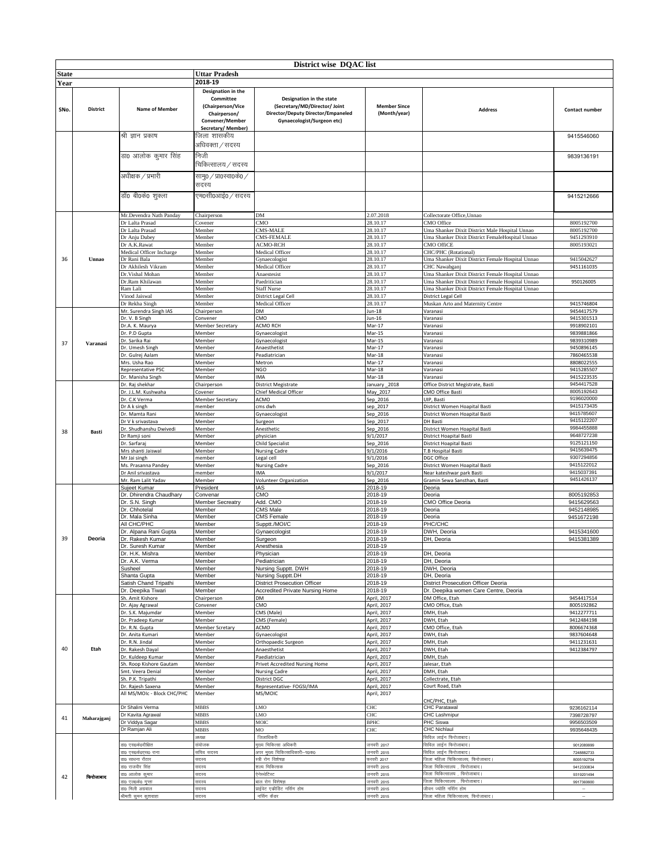|              |                 |                                       |                         | District wise DQAC list                                  |                      |                                                         |                          |
|--------------|-----------------|---------------------------------------|-------------------------|----------------------------------------------------------|----------------------|---------------------------------------------------------|--------------------------|
| <b>State</b> |                 |                                       | <b>Uttar Pradesh</b>    |                                                          |                      |                                                         |                          |
|              |                 |                                       | 2018-19                 |                                                          |                      |                                                         |                          |
| Year         |                 |                                       | Designation in the      |                                                          |                      |                                                         |                          |
|              |                 |                                       | Committee               | Designation in the state                                 |                      |                                                         |                          |
|              |                 |                                       | (Chairperson/Vice       | (Secretary/MD/Director/ Joint                            | <b>Member Since</b>  |                                                         |                          |
| SNo.         | <b>District</b> | <b>Name of Member</b>                 | Chairperson/            | Director/Deputy Director/Empaneled                       | (Month/year)         | <b>Address</b>                                          | Contact number           |
|              |                 |                                       | Convener/Member         | Gynaecologist/Surgeon etc)                               |                      |                                                         |                          |
|              |                 |                                       | Secretary/Member)       |                                                          |                      |                                                         |                          |
|              |                 | श्री ज्ञान प्रकाष                     | जिला शासकीय             |                                                          |                      |                                                         | 9415546060               |
|              |                 |                                       | अधिवक्ता / सदस्य        |                                                          |                      |                                                         |                          |
|              |                 |                                       |                         |                                                          |                      |                                                         |                          |
|              |                 | डा0 आलोक कुमार सिंह                   | निजी                    |                                                          |                      |                                                         | 9839136191               |
|              |                 |                                       | चिकित्सालय / सदस्य      |                                                          |                      |                                                         |                          |
|              |                 | अधीक्षक / प्रभारी                     | सामु0 / प्रा0स्वा0के0 / |                                                          |                      |                                                         |                          |
|              |                 |                                       | सदस्य                   |                                                          |                      |                                                         |                          |
|              |                 |                                       |                         |                                                          |                      |                                                         |                          |
|              |                 | डॉ0 बी0के0 शुक्ला                     | एम0सी0आई0 / सदस्य       |                                                          |                      |                                                         | 9415212666               |
|              |                 |                                       |                         |                                                          |                      |                                                         |                          |
|              |                 | Mr.Devendra Nath Panday               | Chairperson             | DM                                                       | 2.07.2018            | Collectorate Office, Unnao                              |                          |
|              |                 | Dr Lalta Prasad                       | Covener                 | CMO                                                      | 28.10.17             | CMO Office                                              | 8005192700               |
|              |                 | Dr Lalta Prasad                       | Member                  | CMS-MALE                                                 | 28.10.17             | Uma Shanker Dixit District Male Hospital Unnao          | 8005192700               |
|              |                 | Dr Anju Dubey                         | Member                  | CMS-FEMALE                                               | 28.10.17             | Uma Shanker Dixit District FemaleHospital Unnao         | 9451293910               |
|              |                 | Dr A.K.Rawat                          | Member                  | <b>ACMO-RCH</b>                                          | 28.10.17             | CMO OffiCE                                              | 8005193021               |
|              |                 | Medical Officer Incharge              | Member                  | Medical Officer                                          | 28.10.17             | CHC/PHC (Rotational)                                    |                          |
| 36           | Unnao           | Dr Rani Bala                          | Member                  | Gynaecologist                                            | 28.10.17             | Uma Shanker Dixit District Female Hospital Unnao        | 9415042627               |
|              |                 | Dr Akhilesh Vikram                    | Member                  | Medical Officer                                          | 28.10.17             | CHC Nawabganj                                           | 9451161035               |
|              |                 | Dr. Vishal Mohan                      | Member                  | Anaestesist                                              | 28.10.17             | Uma Shanker Dixit District Female Hospital Unnao        |                          |
|              |                 | Dr.Ram Khilawan                       | Member                  | Paedritician                                             | 28.10.17             | Uma Shanker Dixit District Female Hospital Unnao        | 950126005                |
|              |                 | Ram Lali                              | Member                  | <b>Staff Nurse</b>                                       | 28.10.17             | Uma Shanker Dixit District Female Hospital Unnao        |                          |
|              |                 | Vinod Jaiswal<br>Dr Rekha Singh       | Member                  | District Legal Cell<br>Medical Officer                   | 28.10.17<br>28.10.17 | District Legal Cell<br>Muskan Arto and Maternity Centre | 9415746804               |
|              |                 | Mr. Surendra Singh IAS                | Member<br>Chairperson   | DM                                                       | $Jun-18$             | Varanasi                                                | 9454417579               |
|              |                 | Dr. V. B Singh                        | Convener                | CMO                                                      | Jun-16               | Varanasi                                                | 9415301513               |
|              |                 | Dr.A. K. Maurya                       | Member Secretary        | <b>ACMO RCH</b>                                          | Mar-17               | Varanasi                                                | 9918902101               |
|              |                 | Dr. P.D Gupta                         | Member                  | Gynaecologist                                            | Mar-15               | Varanasi                                                | 9839881866               |
|              |                 | Dr. Sarika Rai                        | Member                  | Gynaecologist                                            | Mar-15               | Varanasi                                                | 9839310989               |
| 37           | Varanasi        | Dr. Umesh Singh                       | Member                  | Anaesthetist                                             | Mar-17               | Varanasi                                                | 9450896145               |
|              |                 | Dr. Gulrej Aalam                      | Member                  | Peadiatrician                                            | Mar-18               | Varanasi                                                | 7860465538               |
|              |                 | Mrs. Usha Rao                         | Member                  | Metron                                                   | Mar-17               | Varanasi                                                | 8808022555               |
|              |                 | Representative PSC                    | Member                  | <b>NGO</b>                                               | Mar-18               | Varanasi                                                | 9415285507               |
|              |                 | Dr. Manisha Singh                     | Member                  | <b>IMA</b>                                               | Mar-18               | Varanasi                                                | 9415223535               |
|              |                 | Dr. Raj shekhar                       | Chairperson             | <b>District Megistrate</b>                               | January 2018         | Office District Megistrate, Basti                       | 9454417528               |
|              |                 | Dr. J.L.M. Kushwaha                   | Covener                 | Chief Medical Officer                                    | May_2017             | CMO Office Basti                                        | 8005192643               |
|              |                 | Dr. C.K Verma                         | <b>Member Secretary</b> | ACMO                                                     | Sep_2016             | UIP, Basti                                              | 9196020000               |
|              |                 | Dr A k singh                          | member                  | cms dwh                                                  | sep_2017             | District Women Hoapital Basti                           | 9415173435               |
|              |                 | Dr. Mamta Rani                        | Member                  | Gynaecologist                                            | Sep_2016             | District Women Hoapital Basti                           | 9415785607               |
|              |                 | Dr V k srivastava                     | Member                  | Surgeon                                                  | Sep_2017             | <b>DH Basti</b>                                         | 9415122207               |
| 38           | Basti           | Dr. Shudhanshu Dwivedi                | Member                  | Anesthetic                                               | Sep_2016             | District Women Hoapital Basti                           | 9984455888               |
|              |                 | Dr Ramji soni                         | Member                  | physician                                                | 9/1/2017             | District Hoapital Basti                                 | 9648727238               |
|              |                 | Dr. Sarfaraj                          | Member                  | <b>Child Specialist</b>                                  | Sep_2016             | District Hoapital Basti                                 | 9125121150<br>9415639475 |
|              |                 | Mrs shanti Jaiswal                    | Member                  | <b>Nursing Cadre</b>                                     | 9/1/2016             | T.B Hospital Basti<br>DGC Office                        | 9307294856               |
|              |                 | Mr Jai singh<br>Ms. Prasanna Pandey   | member<br>Member        | Legal cell                                               | 9/1/2016<br>Sep_2016 | District Women Hoapital Basti                           | 9415122012               |
|              |                 | Dr Anil srivastava                    | member                  | <b>Nursing Cadre</b><br>IMA                              | 9/1/2017             | Near kateshwar park Basti                               | 9415037391               |
|              |                 | Mr. Ram Lalit Yadav                   | Member                  | Volunteer Organization                                   | Sep_2016             | Gramin Sewa Sansthan, Basti                             | 9451426137               |
|              |                 | Sujeet Kumar                          | President               | IAS                                                      | 2018-19              | Deoria                                                  |                          |
|              |                 | Dr. Dhirendra Chaudhary               | Convenar                | CMO                                                      | 2018-19              | Deoria                                                  | 8005192853               |
|              |                 | Dr. S.N. Singh                        | Member Secreatry        | Add. CMO                                                 | 2018-19              | CMO Office Deoria                                       | 9415629563               |
|              |                 | Dr. Chhotelal                         | Member                  | <b>CMS Male</b>                                          | 2018-19              | Deoria                                                  | 9452148985               |
|              |                 | Dr. Mala Sinha                        | Member                  | <b>CMS Female</b>                                        | 2018-19              | Deoria                                                  | 9451672198               |
|              |                 | All CHC/PHC                           | Member                  | Supptt./MOI/C                                            | 2018-19              | PHC/CHC                                                 |                          |
|              |                 | Dr. Alpana Rani Gupta                 | Member                  | Gynaecologist                                            | 2018-19              | DWH, Deoria                                             | 9415341600               |
| 39           | Deoria          | Dr. Rakesh Kumar                      | Member                  | Surgeon                                                  | 2018-19              | DH, Deoria                                              | 9415381389               |
|              |                 | Dr. Suresh Kumar                      | Member                  | Anesthesia                                               | 2018-19              |                                                         |                          |
|              |                 | Dr. H.K. Mishra                       | Member                  | Physician                                                | 2018-19              | DH, Deoria                                              |                          |
|              |                 | Dr. A.K. Verma                        | Member                  | Pediatrician                                             | 2018-19              | DH, Deoria                                              |                          |
|              |                 | Susheel                               | Member                  | Nursing Supptt. DWH                                      | 2018-19              | DWH, Deoria                                             |                          |
|              |                 | Shanta Gupta<br>Satish Chand Tripathi | Member<br>Member        | Nursing Supptt.DH<br><b>District Prosecution Officer</b> | 2018-19<br>2018-19   | DH, Deoria<br>District Prosecution Officer Deoria       |                          |
|              |                 | Dr. Deepika Tiwari                    | Member                  | Accredited Private Nursing Home                          | 2018-19              | Dr. Deepika women Care Centre, Deoria                   |                          |
|              |                 | Sh. Amit Kishore                      | Chairperson             | DM                                                       | April, 2017          | DM Office, Etah                                         | 9454417514               |
|              |                 | Dr. Ajay Agrawal                      | Convener                | CMO                                                      | April, 2017          | CMO Office, Etah                                        | 8005192862               |
|              |                 | Dr. S.K. Majumdar                     | Member                  | CMS (Male)                                               | April, 2017          | DMH, Etah                                               | 9412277711               |
|              |                 | Dr. Pradeep Kumar                     | Member                  | CMS (Female)                                             | April, 2017          | DWH, Etah                                               | 9412484198               |
|              |                 | Dr. R.N. Gupta                        | Member Scretary         | ACMO                                                     | April, 2017          | CMO Office, Etah                                        | 8006674368               |
|              |                 | <b>Dr. Anita Kumari</b>               | Member                  | Gynaecologist                                            | April, 2017          | DWH, Etah                                               | 9837604648               |
|              |                 | Dr. R.N. Jindal                       | Member                  | Orthopaedic Surgeon                                      | April, 2017          | DMH, Etah                                               | 9411231631               |
| 40           | Etah            | Dr. Rakesh Dayal                      | Member                  | Anaesthetist                                             | April, 2017          | DWH, Etah                                               | 9412384797               |
|              |                 | Dr. Kuldeep Kumar                     | Member                  | Paediatrician                                            | April, 2017          | DMH, Etah                                               |                          |
|              |                 | Sh. Roop Kishore Gautam               | Member                  | Privet Accredited Nursing Home                           | April, 2017          | Jalesar, Etah                                           |                          |
|              |                 | Smt. Veera Denial                     | Member                  | <b>Nursing Cadre</b>                                     | April, 2017          | DMH, Etah                                               |                          |
|              |                 | Sh. P.K. Tripathi                     | Member                  | District DGC                                             | April, 2017          | Collectrate, Etah                                       |                          |
|              |                 | Dr. Rajesh Saxena                     | Member                  | Representative- FOGSI/IMA                                | April, 2017          | Court Road, Etah                                        |                          |
|              |                 | All MS/MOIc - Block CHC/PHC           | Member                  | MS/MOIC                                                  | April, 2017          |                                                         |                          |
|              |                 | Dr Shalini Verma                      | MBBS                    | LMO                                                      | CHC                  | CHC/PHC, Etah<br>CHC Paratawal                          |                          |
|              |                 |                                       | MBBS                    | LMO                                                      | CHC                  | CHC Lashmipur                                           | 9236162114               |
| 41           | Maharajganj     | Dr Kavita Agrawal<br>Dr Viddya Sagar  | MBBS                    | MOIC                                                     | <b>BPHC</b>          | PHC Siswa                                               | 7398728797<br>9956503509 |
|              |                 | Dr Ramjan Ali                         | MBBS                    | MO                                                       | CHC                  | <b>CHC Nichlaul</b>                                     | 9935648435               |
|              |                 |                                       | स्यक्ष                  | जिलाधिकरी                                                |                      | सिविल लाईन फिरोजाबाद।                                   |                          |
|              |                 | ग्न0 एस0के0दीक्षित                    | संयोजक                  | मुख्य चिकित्सा अधिकरी                                    | जनवरी 2017           | सिविल लाईन फिरोजाबाद।                                   | 9012089999               |
|              |                 | ग० एस०के०एस० राना                     | सचिव सदस्य              | अपर मुख्य चिकित्साधिकारी-प0क0                            | जनवरी 2015           | सिविल लाईन फिरोजाबाद।                                   | 7248882733               |
|              |                 | ग्न0 साधना रौठार                      | सदस्य                   | स्त्री रोग विशेषज्ञ                                      | करवरी 2017           | जिला महिला चिकित्सालय, फिरोजाबाद।                       | 8005192704               |
|              |                 | <b>sto राजवीर सिंह</b>                | सदस्य                   | शल्य चिकित्सक                                            | जनवरी 2015           | जेला चिकित्सालय ,<br>फिरोजाबाद                          | 9412330834               |
|              |                 | ऽा0 आलोक कुमार                        | सदस्य                   | ऐनेस्थेटिस्ट                                             | जनवरी 2015           | जिला चिकित्सालय , फिरोजाबाद।                            | 9319201494               |
| 42           | फिरोजाबाद       | ग० एल०के० गुप्ता                      | सदस्य                   | बाल रोग विशेषज्ञ                                         | जनवरी 2015           | जिला चिकित्सालय , फिरोजाबाद                             | 9917369900               |
|              |                 | ऽा0 मिली अग्रवाल                      | सदस्य                   | गईवेट एकीडिट नर्सिंग होम                                 | जनवरी 2015           | जीवन ज्योति नर्सिग होम                                  |                          |
|              |                 | श्रीमती सुमन कुशवाहा                  | सदस्य                   | नर्सिंग केंडर                                            | जनवरी 2015           | जिला महिला चिकित्सालय, फिरोजाबाद।                       |                          |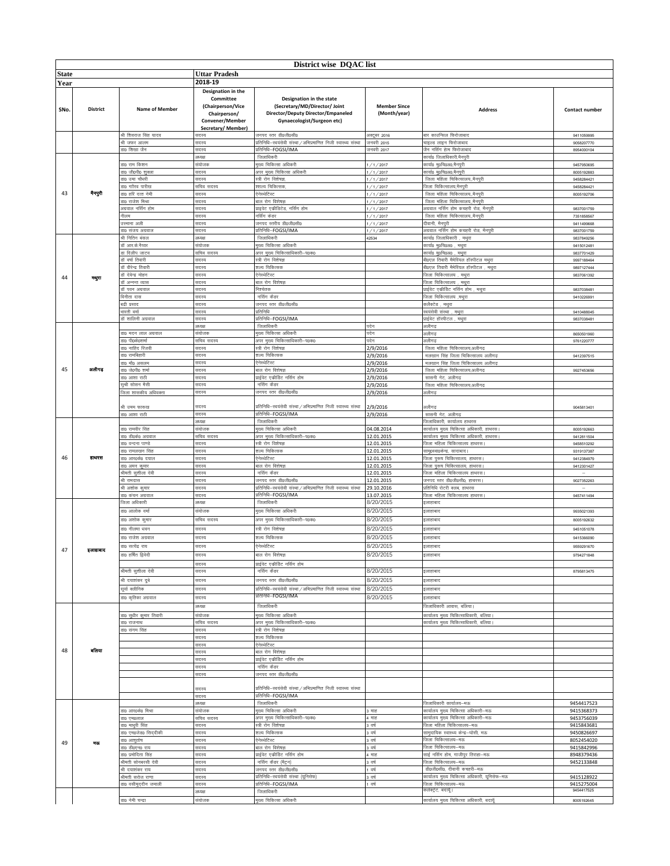|              | District wise DQAC list |                                               |                                                                                                              |                                                                                                                               |                                     |                                                                                                |                                        |  |
|--------------|-------------------------|-----------------------------------------------|--------------------------------------------------------------------------------------------------------------|-------------------------------------------------------------------------------------------------------------------------------|-------------------------------------|------------------------------------------------------------------------------------------------|----------------------------------------|--|
| <b>State</b> |                         |                                               | <b>Uttar Pradesh</b>                                                                                         |                                                                                                                               |                                     |                                                                                                |                                        |  |
| Year         |                         |                                               | 2018-19                                                                                                      |                                                                                                                               |                                     |                                                                                                |                                        |  |
| SNo.         | District                | <b>Name of Member</b>                         | Designation in the<br>Committee<br>(Chairperson/Vice<br>Chairperson/<br>Convener/Member<br>Secretary/Member) | Designation in the state<br>(Secretary/MD/Director/ Joint<br>Director/Deputy Director/Empaneled<br>Gynaecologist/Surgeon etc) | <b>Member Since</b><br>(Month/year) | <b>Address</b>                                                                                 | Contact number                         |  |
|              |                         | .<br>श्री शिवराज सिंह यादव                    | मदस्य                                                                                                        | जनपद स्तर डी0जी0सी0                                                                                                           | अक्टूबर 2016                        | बार काउन्सिल फिरोजाबाद                                                                         | 9411059995                             |  |
|              |                         | श्री जफर आलम                                  | सदस्य                                                                                                        | प्रतिनिधि–स्वयंसेवी संस्था/अभिप्रमाणित निजी स्वास्थ्य संस्था                                                                  | जनवरी 2015                          | चाइल्ड लाइन फिरोजाबाद                                                                          | 9058207770                             |  |
|              |                         | sto शिखा जैन                                  | सदस्य<br>अध्यक्ष                                                                                             | गतिनिधि-FOGSI/IMA<br>जिलाधिकरी                                                                                                | जनवरी 2017                          | जैन नर्सिंग हेाम फिरोजाबाद<br>कार्या0 जिलाधिकारी,मैनपुरी                                       | 8954000104                             |  |
|              |                         | <b>sto राम किशन</b>                           | संयोजक                                                                                                       | मुख्य चिकित्सा अधिकरी                                                                                                         | /1/2017                             | कार्या0 मु0चि0अ0,मैनपुरी                                                                       | 9457950695                             |  |
|              |                         | डा0 जी0पी0 शुक्ला                             | सदस्य                                                                                                        | अपर मुख्य चिकित्सा अधिकरी                                                                                                     | 1/1/2017                            | कार्या0 मु0चि0अ0,मैनपुरी                                                                       | 8005192883                             |  |
|              |                         | ग्र0 उमा चौधरी                                | सदस्य                                                                                                        | स्त्री रोग विशेषज्ञ,                                                                                                          | 1/1/2017                            | जिला महिला चिकित्सालय,,मैनपुरी                                                                 | 9458284421                             |  |
| 43           | नैनपुरी                 | no गाौरव पारीख<br>ग0 हरि दत्त नेमी            | सचिव सदस्य<br>सदस्य                                                                                          | श्शल्य चिकित्सक.<br>ऐनेस्थेटिस्ट                                                                                              | 1/1/2017<br>1/1/2017                | जिला चिकित्सालय,मैनपुरी<br>जिला महिला चिकित्सालय,,मैनपुरी                                      | 9458284421<br>8005192706               |  |
|              |                         | ग्न0 राजेश मिश्रा                             | सदस्य                                                                                                        | बाल रोग विशेषज्ञ                                                                                                              | 1/1/2017                            | जिला महिला चिकित्सालयमैनपरी                                                                    |                                        |  |
|              |                         | रग्रवाल नर्सिंग होम                           | सदस्य                                                                                                        | प्राइवेट एकीडिटेड, नर्सिंग होम                                                                                                | 1/1/2017                            | .<br>अग्रवाल नर्सिंग होम कचहरी रोड, मैनपुरी                                                    | 9837001759                             |  |
|              |                         | नीलम                                          | सदस्य                                                                                                        | नर्सिंग केडर                                                                                                                  | 1/1/2017                            | जिला महिला चिकित्सालय,,मैनपुरी                                                                 | 7351858567                             |  |
|              |                         | ग्र्स्माना अली<br>डा0 संजय अग्रवाल            | सदस्य<br>सदस्य                                                                                               | जनपद स्तरीय डी0जी0सी0<br>प्रतिनिधि–FOGSI/IMA                                                                                  | 1/1/2017<br>1/1/2017                | दीवानी, मैनपुरी<br>अग्रवाल नर्सिंग होम कचहरी रोड, मैनपुरी                                      | 9411499668<br>9837001759               |  |
|              |                         | श्री नितिन बंसल                               | अध्यक्ष                                                                                                      | जिलाधिकरी                                                                                                                     | 42534                               | कार्या0 जिलाधिकारी , मथुरा                                                                     | 9837849256                             |  |
|              |                         | डॉ आर.के.नैय्यर                               | संयोजक                                                                                                       | मुख्य चिकित्सा अधिकरी                                                                                                         |                                     | कार्या0 मु0चि0अ0 , मथुरा                                                                       | 9415012481                             |  |
|              |                         | डा दिलीप जाटव                                 | सचिव सदस्य                                                                                                   | अपर मुख्य चिकित्साधिकारी-प0क0                                                                                                 |                                     | कार्या0 मु0चि0अ0 , मथुरा                                                                       | 9837701429                             |  |
|              |                         | डॉ वर्षा तिवारी<br>डॉ वीरेन्द्र तिवारी        | सदस्य<br>सदस्य                                                                                               | स्त्री रोग विशेषज्ञ<br>शल्य चिकित्सक                                                                                          |                                     | बी0एल तिवारी मैमेरियल हॉस्पीटल मध <mark>ु</mark> रा<br>बी0एल तिवारी मैमेरियल हॉस्पीटल<br>मथुरा | 9997188464<br>9897127444               |  |
|              |                         | डॉ देवेन्द्र मोहन                             | सदस्य                                                                                                        | ऐनेस्थेटिस्ट                                                                                                                  |                                     | .<br>जिला चिकित्सालय , मथुरा                                                                   | 9837061392                             |  |
| 44           | मधुरा                   | डॉ अन्नन्त व्यास                              | सदस्य                                                                                                        | बाल रोग विशेषज्ञ                                                                                                              |                                     | जिला चिकित्सालय , मथुरा                                                                        |                                        |  |
|              |                         | डॉ पवन अग्रवाल                                | सदस्य                                                                                                        | निश्चेतक                                                                                                                      |                                     | प्राईवेट एकीडिट नर्सिंग होम , मथुरा                                                            | 9837038481                             |  |
|              |                         | ोनीता दास                                     | सदस्य                                                                                                        | नर्सिंग कैडर                                                                                                                  |                                     | जिला चिकित्सालय ,मधुरा                                                                         | 9410226991                             |  |
|              |                         | ाद्री प्रसाद<br>ारती वर्मा                    | सदस्य<br>सदस्य                                                                                               | जनपद स्तर डी0जी0सी0<br>प्रतिनिधि                                                                                              |                                     | कलैक्टेड , मधुरा<br>स्वयंसेवी संस्था , मथुरा                                                   | 9410488045                             |  |
|              |                         | ः<br>ग्रॅ शालिनी अग्रवाल                      | सदस्य                                                                                                        | प्रतिनिधि–FOGSI/IMA                                                                                                           |                                     | प्राईवेट हॉस्पीटल<br>मथरा                                                                      | 9837038481                             |  |
|              |                         |                                               | अध्यक्ष                                                                                                      | जिलाधिकरी                                                                                                                     | पदेन                                | अलीगढ़                                                                                         |                                        |  |
|              |                         | ऽा0 मदन लाल अग्रवाल                           | संयोजक                                                                                                       | मुख्य चिकित्सा अधिकरी                                                                                                         | पदेन                                | अलीगढ                                                                                          | 8650501960                             |  |
|              |                         | ग्न0 पी0के0शर्मा<br>ः<br>ग0 नाहिद रिजवी       | सचिव सदस्य<br>सदस्य                                                                                          | अपर मुख्य चिकित्साधिकारी-प0क0<br>स्त्री रोग विशेषज्ञ                                                                          | पदेन<br>2/9/2016                    | अलीगढ<br>जिला महिला चिकित्सालय,अलीगढ                                                           | 9761220777<br>9412397515<br>9927453656 |  |
|              |                         | डा0 रामबिहारी                                 | सदस्य                                                                                                        | शल्य चिकित्सक                                                                                                                 | 2/9/2016                            | मलखान सिंह जिला चिकित्सालय अलीगढ़                                                              |                                        |  |
|              |                         | no मौo असलम                                   | सदस्य                                                                                                        | रेनेस्थेटिस्ट                                                                                                                 | 2/9/2016                            | मलखान सिंह जिला चिकित्सालय अलीगढ़                                                              |                                        |  |
| 45           | अलीगढ                   | ग0 जे0पी0 शर्मा                               | सदस्य                                                                                                        | बाल रोग विशेषज्ञ                                                                                                              | 2/9/2016                            | जिला महिला चिकित्सालय,अलीगढ                                                                    |                                        |  |
|              |                         | ग0 आशा राठी<br>नुश्री सोसन मै <mark>सी</mark> | सदस्य<br>सदस्य                                                                                               | प्राईवेट एकीडिट नर्सिंग होम<br>नर्सिंग कैडर                                                                                   | 2/9/2016<br>2/9/2016                | सासनी गेट, अलीगढ़<br>जिला महिला चिकित्सालय,अलीगढ़                                              |                                        |  |
|              |                         | जेला शासकीय अधिवक्ता                          | सदस्य                                                                                                        | जनपद स्तर डी0जी0सी0                                                                                                           | 2/9/2016                            | अलीगढ़                                                                                         |                                        |  |
|              |                         |                                               |                                                                                                              |                                                                                                                               |                                     |                                                                                                |                                        |  |
|              |                         | श्री उमम फारूख                                | सदस्य                                                                                                        | प्रतिनिधि–स्वयंसेवी संस्था / अभिप्रमाणित निजी स्वास्थ्य संस्था                                                                | 2/9/2016                            | अलीगढ                                                                                          | 9045813401                             |  |
|              |                         | डा0 आशा राठी                                  | सदस्य<br>अध्यक्ष                                                                                             | प्रतिनिधि–FOGSI/IMA<br>जिलाधिकरी                                                                                              | 2/9/2016                            | सासनी गेट, अलीगढ़<br>जिलाधिकारी, कार्यालय हाथरस                                                |                                        |  |
|              |                         | डा0 रामवीर सिंह                               | संयोजक                                                                                                       | मुख्य चिकित्सा अधिकरी                                                                                                         | 04.08.2014                          | कार्यालय मुख्य चिकित्सा अधिकारी, हाथरस।                                                        | 8005192663                             |  |
|              |                         | डा0 डी0के0 अग्रवाल                            | सचिव सदस्य                                                                                                   | अपर मुख्य चिकित्साधिकारी-प0क0                                                                                                 | 12.01.2015                          | कार्यालय मुख्य चिकित्सा अधिकारी, हाथरस।                                                        | 9412811504                             |  |
|              |                         | डा0 वन्दना पाण्डे                             | सदस्य                                                                                                        | स्त्री रोग विशेषज्ञ                                                                                                           | 12.01.2015                          | जिला महिला चिकित्सालय हाथरस                                                                    | 9458510292                             |  |
| 46           | डायरस                   | डा0 रामलखन सिंह<br>डा० आर०के० दयाल            | सदस्य<br>सदस्य                                                                                               | शल्य चिकित्सक<br>ऐनेस्थेटिस्ट                                                                                                 | 12.01.2015<br>12.01.2015            | साम्©स्वा0केन्द्र, सादाबाद।<br>जिला पुरूष चिकित्सालय, हाथरस।                                   | 9319137387<br>9412384979               |  |
|              |                         | डा0 अमन कुमार                                 | सदस्य                                                                                                        | बाल रोग विशेषज्ञ                                                                                                              | 12.01.2015                          | जिला पुरूष चिकित्सालय, हाथरस।                                                                  | 9412301427                             |  |
|              |                         | <b>भीमती सुशीला देवी</b>                      | सदस्य                                                                                                        | नर्सिंग कैडर                                                                                                                  | 12.01.2015                          | जिला महिला चिकित्सालय हाथरस                                                                    |                                        |  |
|              |                         | श्री रामदास                                   | सदस्य                                                                                                        | जनपद स्तर डी0जी0सी0                                                                                                           | 12.01.2015                          | जनपद स्तर डी0जी0सी0, हाथरस।                                                                    | 9027352263                             |  |
|              |                         | री अशोक कुमार<br>70 कंचन अग्रवाल              | सदस्य<br>सदस्य                                                                                               | .<br>प्रतिनिधि–स्वयंसेवी संस्था / अभिप्रमाणित निजी स्वास्थ्य संस्था<br>प्रतिनिधि-FOGSI/IMA                                    | 29.10.2016<br>13.07.2015            | प्रतिनिधि रोटरी क्लब, हाथरस<br>जिला महिला चिकित्सालय हाथरस।                                    | 9457411494                             |  |
|              |                         | जिला अधिकारी                                  | <b>STEZZET</b>                                                                                               | जिलाधिकरी                                                                                                                     | 8/20/2015                           | इलाहाबाद                                                                                       |                                        |  |
|              |                         | डा0 आलोक वर्मा                                | संयोजक                                                                                                       | मुख्य चिकित्सा अधिकरी                                                                                                         | 8/20/2015                           | इलाहाबाद                                                                                       | 9935021393                             |  |
|              |                         | डा0 अशोक कुमार                                | सचिव सदस्य                                                                                                   | अपर मख्य चिकित्साधिकारी-प0क0                                                                                                  | 8/20/2015                           | इलाहाबाद                                                                                       | 8005192632                             |  |
|              |                         | डा0 नीलमा धवन                                 | सदस्य                                                                                                        | स्त्री रोग विशेषज्ञ                                                                                                           | 8/20/2015                           | इलाहाबाद                                                                                       | 9451051078                             |  |
|              |                         | डा0 राजेश अग्रवाल                             | सदस्य                                                                                                        | शल्य चिकित्सक                                                                                                                 | 8/20/2015                           | इलाहाबाद                                                                                       | 9415366090                             |  |
|              |                         | डा0 सत्येंद्र राय                             | सदस्य                                                                                                        | ऐनेस्थेटिस्ट                                                                                                                  | 8/20/2015                           | इलाहाबाद                                                                                       | 9559291670                             |  |
| 47           | ङ्गाहाबाद               | डा0 हर्षित द्विवेदी                           | सदस्य                                                                                                        | बाल रोग विशेषज्ञ                                                                                                              | 8/20/2015                           | इलाहाबाद                                                                                       | 9794271848                             |  |
|              |                         |                                               | सदस्य                                                                                                        | प्राईवेट एकीडिट नर्सिंग होम                                                                                                   |                                     |                                                                                                |                                        |  |
|              |                         | श्रीमती सुशीला देवी                           | सदस्य                                                                                                        | नर्सिंग कैडर                                                                                                                  | 8/20/2015                           | इलाहाबाद                                                                                       | 8795813475                             |  |
|              |                         | श्री दयाशंकर दुबे                             | सदस्य                                                                                                        | जनपद स्तर डी0जी0सी0                                                                                                           | 8/20/2015                           | इलाहाबाद                                                                                       |                                        |  |
|              |                         | सूर्या क्लीनिक                                | सदस्य                                                                                                        | प्रतिनिधि–स्वयंसेवी संस्था / अभिप्रमाणित निजी स्वास्थ्य संस्था                                                                | 8/20/2015                           | इलाहाबाद                                                                                       |                                        |  |
|              |                         | डा0 कृतिका अग्रवाल                            | सदस्य                                                                                                        | प्रातानाध–FOGSI/IMA                                                                                                           | 8/20/2015                           | इलाहाबाद                                                                                       |                                        |  |
|              |                         |                                               | अध्यक्ष                                                                                                      | जिलाधिकरी                                                                                                                     |                                     | जिलाधिकारी आवास, बलिया।                                                                        |                                        |  |
|              |                         | डा0 सुधीर कुमार तिवारी<br>डा0 राजनाथ          | संयोजक<br>सचिव सदस्य                                                                                         | मुख्य चिकित्सा अधिकरी<br>अपर मुख्य चिकित्साधिकारी–प0क0                                                                        |                                     | कार्यालय मुख्य चिकित्साधिकारी, बलिया।<br>कार्यालय मुख्य चिकित्साधिकारी, बलिया।                 |                                        |  |
|              |                         | डा0 संगम सिंह                                 | सदस्य                                                                                                        | स्त्री रोग विशेषज्ञ                                                                                                           |                                     |                                                                                                |                                        |  |
|              |                         |                                               | सदस्य                                                                                                        | शल्य चिकित्सक                                                                                                                 |                                     |                                                                                                |                                        |  |
| 48           | बलिया                   |                                               | सदस्य                                                                                                        | ऐनेस्थेटिस्ट                                                                                                                  |                                     |                                                                                                |                                        |  |
|              |                         |                                               | सदस्य<br>सदस्य                                                                                               | बाल रोग विशेषज्ञ<br>प्राईवेट एकीडिट नर्सिंग होम                                                                               |                                     |                                                                                                |                                        |  |
|              |                         |                                               | सदस्य                                                                                                        | नर्सिग कैडर                                                                                                                   |                                     |                                                                                                |                                        |  |
|              |                         |                                               | सदस्य                                                                                                        | जनपद स्तर डी0जी0सी0                                                                                                           |                                     |                                                                                                |                                        |  |
|              |                         |                                               |                                                                                                              |                                                                                                                               |                                     |                                                                                                |                                        |  |
|              |                         |                                               | सदस्य                                                                                                        | गतिनिधि—स्वयंसेवी संस्था / अभिप्रमाणित निजी स्वास्थ्य संस्था<br>प्रतिनिधि–FOGSI/IMA                                           |                                     |                                                                                                |                                        |  |
|              |                         |                                               | सदस्य<br>अध्यक्ष                                                                                             | जिलाधिकरी                                                                                                                     |                                     | जिलाधिकारी कार्यालय-मऊ                                                                         | 9454417523                             |  |
|              |                         | डा० आर०के० मिश्रा                             | संयोजक                                                                                                       | मुख्य चिकित्सा अधिकरी                                                                                                         | । माह                               | कार्यालय मुख्य चिकित्सा अधिकारी—मऊ                                                             | 9415368373                             |  |
|              |                         | ऽ१० एम०लाल                                    | सचिव सदस्य                                                                                                   | अपर मुख्य चिकित्साधिकारी-प0क0                                                                                                 | । माह                               | कार्यालय मुख्य चिकित्सा अधिकारी–मऊ                                                             | 9453756039                             |  |
|              |                         | no माधुरी सिंह                                | सदस्य                                                                                                        | स्त्री रोग विशेषज्ञ                                                                                                           | वर्ष                                | जिला महिला चिकित्सालय-मऊ<br>सामुदायिक स्वास्थ्य केन्द्र–घोसी, मऊ                               | 9415843681                             |  |
|              |                         | डा0 एम0जेड0 सिद्दीकी<br>डा0 आशुतोष            | सदस्य<br>सदस्य                                                                                               | शल्य चिकित्सक<br>ऐनेस्थेटिस्ट                                                                                                 | वर्ष<br>वर्ष                        | जिला चिकित्सालय-मऊ                                                                             | 9450826697<br>8052454020               |  |
| 49           | मक्त                    | डा0 डी0एन0 राय                                | सदस्य                                                                                                        | बाल रोग विशेषज्ञ                                                                                                              | वर्ष                                | जिला चिकित्सालय–मऊ                                                                             | 9415842996                             |  |
|              |                         | <b>sto प्रमोदिता सिंह</b>                     | सदस्य                                                                                                        | प्राईवेट एकीडिट नर्सिंग होम                                                                                                   | माह                                 | साई नर्सिग होम, गाजीपुर तिराहा—मऊ                                                              | 8948379436                             |  |
|              |                         | श्रीमती सोनबरसी देवी                          | सदस्य                                                                                                        | नर्सिंग कँडर (मैट्रन)                                                                                                         | वर्ष<br>वर्ष                        | जिला चिकित्सालय–मऊ<br>डी0जी0सी0, दीवानी कचहरी-मऊ                                               | 9452133848                             |  |
|              |                         | श्री दयाशंकर राय<br>श्रीमती सरोज राणा         | सदस्य<br>सदस्य                                                                                               | जनपद स्तर डी0जी0सी0<br>प्रतिनिधि–स्वयंसेवी संस्था (यूनिसेफ)                                                                   | वर्ष                                | कार्यालय मुख्य चिकित्सा अधिकारी, यूनिसेफ–मऊ                                                    | 9415128922                             |  |
|              |                         | डा0 वसीमुद्दीन जमाली                          | सदस्य                                                                                                        | प्रतिनिधि-FOGSI/IMA                                                                                                           | वर्ष                                | जिला चिकित्सालय–मऊ                                                                             | 9415275004                             |  |
|              |                         |                                               | अध्यक्ष                                                                                                      | जिलाधिकरी                                                                                                                     |                                     | कलेक्ट्रेट, बदायू।                                                                             | 9454417525                             |  |
|              |                         | डा0 नेमी चन्द्रा                              | संयोजक                                                                                                       | मुख्य चिकित्सा अधिकरी                                                                                                         |                                     | कार्यालय मुख्य चिकित्सा अधिकारी, बदायूॅ                                                        | 8005192645                             |  |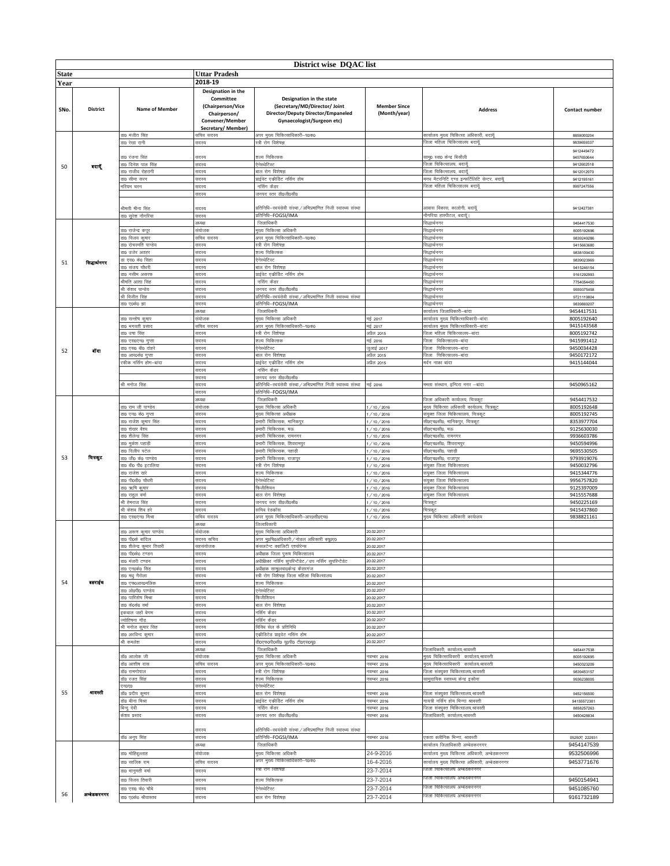|              | District wise DQAC list |                                                    |                                                                                                              |                                                                                                                               |                                     |                                                                                 |                            |  |  |
|--------------|-------------------------|----------------------------------------------------|--------------------------------------------------------------------------------------------------------------|-------------------------------------------------------------------------------------------------------------------------------|-------------------------------------|---------------------------------------------------------------------------------|----------------------------|--|--|
| <b>State</b> |                         |                                                    | <b>Uttar Pradesh</b>                                                                                         |                                                                                                                               |                                     |                                                                                 |                            |  |  |
| Year         |                         |                                                    | 2018-19                                                                                                      |                                                                                                                               |                                     |                                                                                 |                            |  |  |
| SNo.         | <b>District</b>         | <b>Name of Member</b>                              | Designation in the<br>Committee<br>(Chairperson/Vice<br>Chairperson/<br>Convener/Member<br>Secretary/Member) | Designation in the state<br>(Secretary/MD/Director/ Joint<br>Director/Deputy Director/Empaneled<br>Gynaecologist/Surgeon etc) | <b>Member Since</b><br>(Month/year) | <b>Address</b>                                                                  | Contact number             |  |  |
|              |                         | डा0 मंजीत सिंह                                     | प्तचिव सदस्य                                                                                                 | अपर मुख्य चिकित्साधिकारी-प0क0<br>स्त्री रोग विशेषज्ञ                                                                          |                                     | कार्यालय मुख्य चिकित्सा अधिकारी, बदायूँ                                         | 8859000204                 |  |  |
|              |                         | डा0 रेखा रानी                                      | तदस्य                                                                                                        |                                                                                                                               |                                     | जिला महिला चिकित्सालय बदायूॅ                                                    | 9839659337<br>9412449472   |  |  |
|              |                         | डा0 रंजना सिंह                                     | सदस्य                                                                                                        | शल्य चिकित्सक                                                                                                                 |                                     | साम्© स्वा0 केन्द्र बिसौली                                                      | 9457650644                 |  |  |
| 50           | बदायूँ                  | डा0 दिनेश पाल सिंह                                 | सदस्य                                                                                                        | ऐनेस्थेटिस्ट                                                                                                                  |                                     | जिला चिकित्सालय, बदायूँ                                                         | 9412602518                 |  |  |
|              |                         | डा0 राजीव रोहतगी                                   | सदस्य                                                                                                        | बाल रोग विशेषज्ञ<br>प्राईवेट एकीडिट नर्सिंग होम                                                                               |                                     | .<br>जिला चिकित्सालय. बदायॅं<br>मगध मैटरनिटि एण्ड इन्फर्टिलिटि सेन्टर, बदायूॅ   | 9412012970<br>9412195161   |  |  |
|              |                         | डा0 सीमा सरन<br>।रियम चरन                          | सदस्य<br>सदस्य                                                                                               | नर्सिंग कैडर                                                                                                                  |                                     | जेला महिला चिकित्सालय बदायूँ                                                    | 9997247556                 |  |  |
|              |                         |                                                    | सदस्य                                                                                                        | जनपद स्तर डी0जी0सी0                                                                                                           |                                     |                                                                                 |                            |  |  |
|              |                         |                                                    |                                                                                                              |                                                                                                                               |                                     |                                                                                 |                            |  |  |
|              |                         | श्रीमती मीना सिंह<br>sio सुरेश नौगरिया             | सदस्य<br>सदस्य                                                                                               | प्रतिनिधि-स्वयंसेवी संस्था / अभिप्रमाणित निजी स्वास्थ्य संस्था<br>प्रतिनिधि–FOGSI/IMA                                         |                                     | आवास विकास, कालोनी, बदायूँ<br>.<br>नौगरिया हास्पीटल, बदायूँ।                    | 9412427381                 |  |  |
|              |                         |                                                    | अध्यक्ष                                                                                                      | जिलाधिकरी                                                                                                                     |                                     | सिद्धार्थनगर                                                                    | 9454417530                 |  |  |
|              |                         | डा0 राजेन्द्र कपूर                                 | संयोजक                                                                                                       | मुख्य चिकित्सा अधिकरी                                                                                                         |                                     | सेद्धार्थनगर                                                                    | 8005192696                 |  |  |
|              |                         | इा0 विजय कुमार                                     | सचिव सदस्य                                                                                                   | अपर मुख्य चिकित्साधिकारी-प0क0                                                                                                 |                                     | सेद्धार्थनगर                                                                    | 9839249286                 |  |  |
|              |                         | <b>sto रोचरमति पान्डेय</b><br><b>sto उजेर अतहर</b> | सदस्य<br>सदस्य                                                                                               | स्त्री रोग विशेषज्ञ<br>शल्य चिकित्सक                                                                                          |                                     | सेद्धार्थनगर<br>सिद्धार्थनगर                                                    | 9415663680<br>9838109430   |  |  |
|              |                         | डा एस0 के0 सिंहा                                   | सदस्य                                                                                                        | ऐनेस्थेटिस्ट                                                                                                                  |                                     | सेद्धार्थनगर                                                                    | 9839023969                 |  |  |
| 51           | सिद्धार्थनगर            | डा0 संजय चौधरी                                     | सदस्य                                                                                                        | बाल रोग विशेषज्ञ                                                                                                              |                                     | सेद्धार्थनगर                                                                    | 9415246154                 |  |  |
|              |                         | डा0 नसीम असरफ                                      | सदस्य                                                                                                        | प्राईवेट एकीडिट नर्सिंग होम                                                                                                   |                                     | सेद्धार्थनगर                                                                    | 9161292993                 |  |  |
|              |                         | श्रीमति आशा सिंह<br>श्री केशव पान्डेय              | सदस्य<br>सदस्य                                                                                               | नर्सिंग कैडर<br>जनपद स्तर डी0जी0सी0                                                                                           |                                     | सेद्धार्थनगर<br>सिद्धार्थनगर                                                    | 7754054450<br>9559375458   |  |  |
|              |                         | श्री विजीत सिंह                                    | सदस्य                                                                                                        | प्रतिनिधि-स्वयंसेवी संस्था / अभिप्रमाणित निजी स्वास्थ्य संस्था                                                                |                                     | सेद्धार्थनगर                                                                    | 9721119804                 |  |  |
|              |                         | डा० ए०के० झा                                       | सदस्य                                                                                                        | प्रतिनिधि-FOGSI/IMA                                                                                                           |                                     | सिद्धार्थनगर                                                                    | 9839869207                 |  |  |
|              |                         |                                                    | अध्यक्ष                                                                                                      | जिलाधिकरी                                                                                                                     |                                     | कार्यालय जिलाधिकारी–बांदा                                                       | 9454417531                 |  |  |
|              |                         | डा0 सन्तोष कुमार<br>डा0 भगवती प्रसाद               | संयोजक<br>सचिव सदस्य                                                                                         | मख्य चिकित्सा अधिकरी<br>अपर मुख्य चिकित्साधिकारी-प0क0                                                                         | मई 2017<br>मई 2017                  | कार्यालय मुख्य चिकित्साधिकारी-बांदा<br>कार्यालय मुख्य चिकित्साधिकारी-बांदा      | 8005192640<br>9415143568   |  |  |
|              |                         | डा0 उषा सिंह                                       | सदस्य                                                                                                        | स्त्री रोग विशेषज्ञ                                                                                                           | अप्रैल 2015                         | जिला महिला चिकित्सालय–बांदा                                                     | 8005192742                 |  |  |
|              |                         | डा० एस०एन० गुप्ता                                  | सदस्य                                                                                                        | शल्य चिकित्सक                                                                                                                 | मई 2016                             | जिला चिकित्सालय-बांदा                                                           | 9415991412                 |  |  |
| 52           | बॉदा                    | डा0 एस0 बी0 दोहरे                                  | सदस्य                                                                                                        | ऐनेस्थेटिस्ट                                                                                                                  | जुलाई 2017                          | जिला चिकित्सालय-बांदा                                                           | 9450034428                 |  |  |
|              |                         | ग0 आर0के0 गुप्ता<br>फीक नर्सिंग होम—बांदा          | सदस्य<br>सदस्य                                                                                               | बाल रोग विशेषज्ञ<br>प्राईवेट एकीडिट नर्सिंग होम                                                                               | अप्रैल 2015<br>अप्रैल 2015          | .<br>जेला चिकित्सालय–बांदा<br>मर्दन नाका बांदा                                  | 9450172172<br>9415144044   |  |  |
|              |                         |                                                    | सदस्य                                                                                                        | नर्सिंग कैडर                                                                                                                  |                                     |                                                                                 |                            |  |  |
|              |                         |                                                    | सदस्य                                                                                                        | जनपद स्तर डी0जी0सी0                                                                                                           |                                     |                                                                                 |                            |  |  |
|              |                         | भी मनोज सिंह                                       | सदस्य                                                                                                        | प्रतिनिधि–स्वयंसेवी संस्था / अभिप्रमाणित निजी स्वास्थ्य संस्था                                                                | मई 2016                             | ममता संस्थान, इन्दिरा नगर –बांदा                                                | 9450965162                 |  |  |
|              |                         |                                                    | सदस्य<br>अध्यक्ष                                                                                             | प्रतिनिधि–FOGSI/IMA<br>जिलाधिकरी                                                                                              |                                     | .<br>जेला अधिकारी कार्यालय, चित्रकूट                                            | 9454417532                 |  |  |
|              |                         | डा0 राम जी पाण्डेय                                 | संयोजक                                                                                                       | मुख्य चिकित्सा अधिकरी                                                                                                         | /10/2016                            | मुख्य चिकित्सा अधिकारी कार्यालय, चित्रकूट                                       | 8005192648                 |  |  |
|              |                         | ऽा0 एन0 के0 गुप्ता                                 | सदस्य                                                                                                        | मुख्य चिकित्सा अधीक्षक                                                                                                        | /10/2016                            | .<br>संयुक्त जिला चिकित्सालय, चित्रकूट                                          | 8005192745                 |  |  |
|              |                         | डा0 राजेश कुमार सिंह                               | सदस्य                                                                                                        | प्रभारी चिकित्सक, मानिकपुर                                                                                                    | /10/2016                            | सी0एच0सी0, मानिकपुर, चित्रकूट                                                   | 8353977704                 |  |  |
|              |                         | ग़0 शेखर वैश्य<br>ग़0 शैलेन्द्र सिंह               | सदस्य<br>सदस्य                                                                                               | प्रभारी चिकित्सक, मऊ<br>प्रभारी चिकित्सक, रामनगर                                                                              | 1/10/2016<br>1/10/2016              | सी0एच0सी0, मऊ<br>सी0एच0सी0, रामनगर                                              | 9125630030<br>9936603786   |  |  |
|              |                         | <u>ग0 मुकेश पहा</u> ड़ी                            | सदस्य                                                                                                        | प्रभारी चिकित्सक, शिवरामपुर                                                                                                   | 1/10/2016                           | सी०एच०सी०, शिवरामपुर                                                            | 9450594996                 |  |  |
|              |                         | झ0 दिलीप पटेल                                      | सदस्य                                                                                                        | प्रभारी चिकित्सक, पहाड़ी                                                                                                      | /10/2016                            | सी0एच0सी0, पहाड़ी                                                               | 9695530505                 |  |  |
| 53           | वित्रदूट                | डा0 जी0 के0 पाण्डेय                                | सदस्य                                                                                                        | प्रभारी चिकित्सक, राजापुर                                                                                                     | /10/2016                            | सी0एच0सी0, राजापुर                                                              | 9793919076                 |  |  |
|              |                         | डा0 बी0 पी0 इटालिया<br>डा0 राजेश खरे               | सदस्य<br>सदस्य                                                                                               | स्त्री रोग विशेषज्ञ<br>शल्य चिकित्सक                                                                                          | 1/10/2016<br>1/10/2016              | संयुक्त जिला चिकित्सालय<br>संयुक्त जिला चिकित्सालय                              | 9450032796<br>9415344776   |  |  |
|              |                         | डाo पीoडीo चौधरी                                   | सदस्य                                                                                                        | ऐनेस्थेटिस्ट                                                                                                                  | /10/2016                            | संयुक्त जिला चिकित्सालय                                                         | 9956757820                 |  |  |
|              |                         | डा0 ऋषि कुमार                                      | सदस्य                                                                                                        | फिजीशियन                                                                                                                      | 1/10/2016                           | संयक्त जिला चिकित्सालय                                                          | 9125397009                 |  |  |
|              |                         | डा0 राहुल वर्मा                                    | सदस्य                                                                                                        | बाल रोग विशेषज्ञ                                                                                                              | 1/10/2016                           | संयुक्त जिला चिकित्सालय                                                         | 9415557688<br>9450225169   |  |  |
|              |                         | श्री हेमराज सिंह<br>श्री केशव शिव हरे              | सदस्य<br>सदस्य                                                                                               | जनपद स्तर डी0जी0सी0<br>सचिव रेडकॉस                                                                                            | 1/10/2016<br>/10/2016               | चित्रकूट<br>चित्रकूट                                                            | 9415437860                 |  |  |
|              |                         | डा0 एस0एन0 मिश्रा                                  | सचिव सदस्य                                                                                                   | अपर मुख्य चिकित्साधिकारी-आर0सी0एच0                                                                                            | 1/10/2016                           | नुख्य चिकित्सा अधिकारी कार्यालय                                                 | 9838821161                 |  |  |
|              |                         |                                                    | 3767287                                                                                                      | जिलाधिकारी                                                                                                                    |                                     |                                                                                 |                            |  |  |
|              |                         | डा0 अरूण कुमार पाण्डेय<br><u>डा0 पी0के</u> बांदिल  | संयोजक<br>सदस्य सचिव                                                                                         | मुख्य चिकित्सा अधिकारी<br>अपर मु0चि0अधिकारी / नोडल अधिकारी क्यू0ए0                                                            | 20.02.2017<br>20.02.2017            |                                                                                 |                            |  |  |
|              |                         | डा0 शैलेन्द्र कुमार तिवारी                         | सहसंयोजक                                                                                                     | कंसलटेन्ट क्वालिटी एश्योरेन्स                                                                                                 | 20.02.2017                          |                                                                                 |                            |  |  |
|              |                         | डा0 पी0के0 टण्डन                                   | सदस्य                                                                                                        | अधीक्षक जिला पुरूष चिकित्सालय                                                                                                 | 20.02.2017                          |                                                                                 |                            |  |  |
|              |                         | ऽा0 मंजरी टण्डन                                    | तदस्य                                                                                                        | अधीक्षिका नर्सिंग सुपरिन्टैडेट ⁄ उप नर्सिंग सुपरिन्टैडेट                                                                      | 20.02.2017                          |                                                                                 |                            |  |  |
|              |                         | ग0 एन0के0 सिंह<br><u>डा0 मधु</u> गैरोला            | सदस्य<br>सदस्य                                                                                               | अधीक्षक <u>सामु</u> 0स्वा0केन्द्र कैसरगंज<br>स्त्री रोग विशेषज्ञ जिला महिला चिकित्सालय                                        | 20.02.2017<br>20.02.2017            |                                                                                 |                            |  |  |
| 54           | बहराईच                  | डा0 एफ0आर0मलिक                                     | सदस्य                                                                                                        | शल्य चिकित्सक                                                                                                                 | 20.02.2017                          |                                                                                 |                            |  |  |
|              |                         | डा0 ओ0पी0 पाण्डेय                                  | सदस्य                                                                                                        | एनेस्थेटिस्ट                                                                                                                  | 20.02.2017                          |                                                                                 |                            |  |  |
|              |                         | इा0 पारितोष मिश्रा<br>डा0 के0के0 वर्मा             | सदस्य                                                                                                        | .<br>फिजीशियन                                                                                                                 | 20.02.2017<br>20.02.2017            |                                                                                 |                            |  |  |
|              |                         | कबाल जहाँ बेगम                                     | सदस्य<br>सदस्य                                                                                               | बाल रोग विशेषज्ञ<br>नर्सिंग केंडर                                                                                             | 20.02.2017                          |                                                                                 |                            |  |  |
|              |                         | योतिषना गौड़                                       | सदस्य                                                                                                        | नर्सिंग केंडर                                                                                                                 | 20.02.2017                          |                                                                                 |                            |  |  |
|              |                         | श्री मनोज कुमार सिंह                               | मदस्य                                                                                                        | विविध सेल के प्रतिनिधि                                                                                                        | 20.02.2017                          |                                                                                 |                            |  |  |
|              |                         | डा0 अरविन्द कुमार<br>श्री कमलेश                    | सदस्य<br>सदस्य                                                                                               | एकीडिटेड प्राइवेट नसिंग होम<br>डीoएफoपीoसीo यूoपीo टीoएसoयूo                                                                  | 20.02.2017<br>20.02.2017            |                                                                                 |                            |  |  |
|              |                         |                                                    | अध्यक्ष                                                                                                      | जिलाधिकरी                                                                                                                     |                                     | जिलाधिकारी, कार्यालय,श्रावस्ती                                                  | 9454417538                 |  |  |
|              |                         | डॉ0 आलोक जी                                        | संयोजक                                                                                                       | मुख्य चिकित्सा अधिकरी                                                                                                         | नवम्बर 2016                         | नुख्य चिकित्साधिकारी  कार्यालय,श्रावस्ती                                        | 8005192695                 |  |  |
|              |                         | डॉ0 आशीष दास                                       | सचिव सदस्य                                                                                                   | अपर मुख्य चिकित्साधिकारी-प0क0                                                                                                 | नवम्बर 2016                         | नुख्य चिकित्साधिकारी  कार्यालय,श्रावस्ती                                        | 9450323209                 |  |  |
|              |                         | डॉ0 रामगोपाल<br>डॉ0 रजत सिंह                       | सदस्य<br>सदस्य                                                                                               | स्त्री रोग विशेषज्ञ<br>शल्य चिकित्सक                                                                                          | नवम्बर 2016<br>नवम्बर 2016          | <u>जिला संक्युक्त</u> चिकित्सालय,श्रावस्ती<br>सामुदायिक स्वास्थ्य केन्द्र इकौना | 9839453157<br>9936238005   |  |  |
|              |                         | ग्न0ए0                                             | सदस्य                                                                                                        | ऐनेस्थेटिस्ट                                                                                                                  |                                     |                                                                                 |                            |  |  |
| 55           | शावस्ती                 | डॉ0 प्रदीप कुमार                                   | सदस्य                                                                                                        | बाल रोग विशेषज्ञ                                                                                                              | नवम्बर 2016                         | जिला संक्युक्त चिकित्सालय,श्रावस्ती                                             | 9452156500                 |  |  |
|              |                         | डॉ0 बीना मिश्रा                                    | सदस्य                                                                                                        | प्राईवेट एकीडिट नर्सिंग होम                                                                                                   | नवम्बर 2016                         | गायत्री नर्सिंग होम मिन्गा श्रावस्ती                                            | 94155572381                |  |  |
|              |                         | बिन्दु देवी<br>केशव प्रसाद                         | सदस्य<br>सदस्य                                                                                               | नर्सिंग कैडर<br>जनपद स्तर डी0जी0सी0                                                                                           | नवम्बर 2016<br>नवम्बर 2016          | जिला संक्युक्त चिकित्सालय,श्रावस्ती<br>.<br>जिलाधिकारी, कार्यालय,श्रावस्ती      | 8858257263<br>9450428834   |  |  |
|              |                         |                                                    |                                                                                                              |                                                                                                                               |                                     |                                                                                 |                            |  |  |
|              |                         |                                                    | सदस्य                                                                                                        | प्रतिनिधि–स्वयंसेवी संस्था/अभिप्रमाणित निजी स्वास्थ्य संस्था                                                                  |                                     |                                                                                 |                            |  |  |
|              |                         | डॉ0 अनूप सिंह                                      | सदस्य<br>अध्यक्ष                                                                                             | प्रतिनिधि–FOGSI/IMA                                                                                                           | नवम्बर 2016                         | रकता क्लीनिक भिन्गा, श्रावस्ती                                                  | 05250 222931<br>9454147539 |  |  |
|              |                         | डा0 मोहिबूल्लाह                                    | संयोजक                                                                                                       | जिलाधिकरी<br>मुख्य चिकित्सा अधिकरी                                                                                            | 24-9-2016                           | कार्यालय जिलाधिकारी अम्बेडकरनगर<br>कार्यालय मुख्य चिकित्सा अधिकारी, अम्बेडकरनगर | 9532506996                 |  |  |
|              |                         | डा0 सालिक राम                                      | सचिव सदस्य                                                                                                   | अपर मुख्य चिकित्साधिकारी–प0क0                                                                                                 | 16-4-2016                           | कार्यालय मुख्य चिकित्सा अधिकारी, अम्बेडकरनगर                                    | 9453771676                 |  |  |
|              |                         | डा0 भानुमती वर्मा                                  | सदस्य                                                                                                        | स्त्री रोग विशेषज्ञ                                                                                                           | 23-7-2014                           | जेला चिकित्सालय अम्बेडकरनगर                                                     |                            |  |  |
|              |                         | डा0 विजय तिवारी                                    | सदस्य                                                                                                        | शल्य चिकित्सक                                                                                                                 | 23-7-2014                           | जेला चिकित्सालय अम्बेडकरनगर                                                     | 9450154941                 |  |  |
|              |                         | डा0 एस0 के0 चौबे                                   | सदस्य                                                                                                        | ऐनेस्थेटिस्ट                                                                                                                  | 23-7-2014                           | जिला चिकित्सालय अम्बेडकरनगर                                                     | 9451085760                 |  |  |
| 56           | अमोडकरनगर               | डा0 ए0के0 श्रीवास्तव                               | सदस्य                                                                                                        | बाल रोग विशेषज्ञ                                                                                                              | 23-7-2014                           | जेला चिकित्सालय अम्बेडकरनगर                                                     | 9161732189                 |  |  |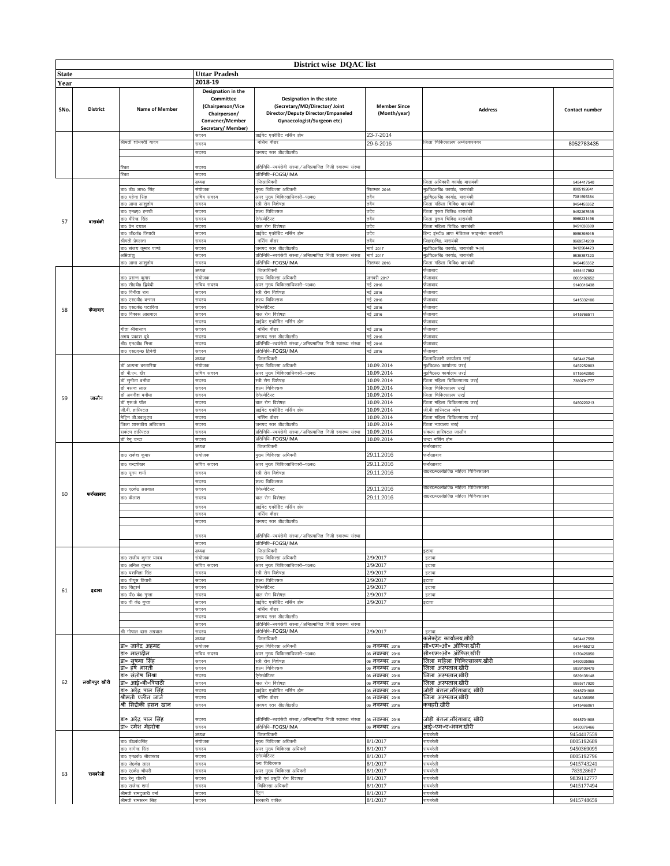|              |                 |                                            |                                                                                        | District wise DQAC list                                                                                                       |                                     |                                                                      |                          |
|--------------|-----------------|--------------------------------------------|----------------------------------------------------------------------------------------|-------------------------------------------------------------------------------------------------------------------------------|-------------------------------------|----------------------------------------------------------------------|--------------------------|
| <b>State</b> |                 |                                            | Uttar Pradesh                                                                          |                                                                                                                               |                                     |                                                                      |                          |
|              |                 |                                            | 2018-19                                                                                |                                                                                                                               |                                     |                                                                      |                          |
| Year         |                 |                                            | Designation in the                                                                     |                                                                                                                               |                                     |                                                                      |                          |
| SNo.         | <b>District</b> | <b>Name of Member</b>                      | Committee<br>(Chairperson/Vice<br>Chairperson/<br>Convener/Member<br>Secretary/Member) | Designation in the state<br>(Secretary/MD/Director/ Joint<br>Director/Deputy Director/Empaneled<br>Gynaecologist/Surgeon etc) | <b>Member Since</b><br>(Month/year) | <b>Address</b>                                                       | Contact number           |
|              |                 |                                            | सदस्य                                                                                  | प्राईवेट एकीडिट नर्सिंग होम                                                                                                   | 23-7-2014                           |                                                                      |                          |
|              |                 | श्रीमती शोभवती यादव                        | सदस्य                                                                                  | नसिंग केडर                                                                                                                    | 29-6-2016                           | जेला चिकित्सालय अम्बेडकरनगर                                          | 8052783435               |
|              |                 |                                            | सदस्य                                                                                  | जनपद स्तर डी0जी0सी0                                                                                                           |                                     |                                                                      |                          |
|              |                 |                                            |                                                                                        |                                                                                                                               |                                     |                                                                      |                          |
|              |                 | रिक्त                                      | सदस्य                                                                                  | प्रतिनिधि–स्वयंसेवी संस्था / अभिप्रमाणित निजी स्वास्थ्य संस्था                                                                |                                     |                                                                      |                          |
|              |                 | रिक्त                                      | सदस्य                                                                                  | प्रतिनिधि-FOGSI/IMA                                                                                                           |                                     |                                                                      |                          |
|              |                 |                                            | अध्यक्ष                                                                                | जिलाधिकरी                                                                                                                     |                                     | जिला अधिकारी कार्या0 बाराबंकी                                        | 9454417540               |
|              |                 | डा0 डी0 आर0 सिंह                           | संयोजक<br>सचिव सदस्य                                                                   | मख्य चिकित्सा अधिकरी<br>अपर मुख्य चिकित्साधिकारी-प0क0                                                                         | सितम्बर 2016                        | मु0चि0अधि0 कार्या0, बाराबंकी<br>मृ0चि0अधि0 कार्या0, बाराबंकी         | 8005192641<br>7081595384 |
|              |                 | डा0 महेन्द्र सिंह<br>डा० आभा आशुतोष        | सदस्य                                                                                  | स्त्री रोग विशेषज्ञ                                                                                                           | तदैव<br>तदैव                        | जिला महिला चिकि0 बाराबंकी                                            | 9454455352               |
|              |                 | डा० एम०ए० हनफी                             | सदस्य                                                                                  | शल्य चिकित्सक                                                                                                                 | तदैव                                | .<br>जिला पुरूष चिकि0 बाराबंकी                                       | 9452267635               |
| 57           | बाराबंकी        | डा0 वीरेन्द्र सिंह                         | सदस्य                                                                                  | ऐनेस्थेटिस्ट                                                                                                                  | तदैव                                | जिला पुरूष चिकि0 बाराबंकी                                            | 9966231456               |
|              |                 | डा0 प्रेम दयाल                             | सदस्य                                                                                  | बाल रोग विशेषज्ञ                                                                                                              | तदैव                                | जिला महिला चिकि0 बाराबंकी                                            | 9451036389               |
|              |                 | डा0 जी0के0 त्रिपाठी                        | सदस्य                                                                                  | प्राईवेट एकीडिट नर्सिंग होम                                                                                                   | तदैव                                | हिन्द इंस्टी0 आफ मेडिकल साइन्सेज बाराबंकी                            | 9956398915               |
|              |                 | श्रीमती प्रेमलता                           | सदस्य                                                                                  | नर्सिग कैडर                                                                                                                   | तदैव                                | जि0म0चि0, बाराबंकी                                                   | 9669574209               |
|              |                 | डा0 संजय कुमार पाण्डे<br>अभितांश्          | सदस्य<br>सदस्य                                                                         | जनपद स्तर डी0जी0सी0<br>प्रतिनिधि–स्वयंसेवी संस्था/अभिप्रमाणित निजी स्वास्थ्य संस्था                                           | मार्च 2017<br>मार्च 2017            | मु0चि0अधि0 कार्या0, बाराबंकी ष्माज़े<br>मु0चि0अधि0 कार्या0, बाराबंकी | 9412964423<br>9839357323 |
|              |                 | डा0 आभा आशुतोष                             | सदस्य                                                                                  | प्रतिनिधि–FOGSI/IMA                                                                                                           | सितम्बर 2016                        | जिला महिला चिकि0 बाराबंकी                                            | 9454455352               |
|              |                 |                                            | अध्यक्ष                                                                                | जिलाधिकरी                                                                                                                     |                                     | फैजाबाद                                                              | 9454417552               |
|              |                 | डा0 प्रसन्न कुमार                          | संयोजक                                                                                 | मुख्य चिकित्सा अधिकरी                                                                                                         | जनवरी 2017                          | फैजाबाद                                                              | 8005192652               |
|              |                 | डा0 सी0बी0 द्विवेदी                        | सचिव सदस्य                                                                             | अपर मुख्य चिकित्साधिकारी-प0क0                                                                                                 | मई 2016                             | <u>फैजाबाद</u>                                                       | 9140316438               |
|              |                 | डा0 विनीता राय                             | सदस्य                                                                                  | स्त्री रोग विशेषज्ञ                                                                                                           | मई 2016                             | फैजाबाद                                                              |                          |
|              |                 | डा0 एस0पी0 बन्सल                           | सदस्य                                                                                  | शल्य चिकित्सक                                                                                                                 | मई 2016                             | फैजाबाद                                                              | 9415332106               |
| 58           | ফলাৰাব          | डा0 एस0के0 पटारिया<br>डा0 विकास आग्रवाल    | सदस्य<br>सदस्य                                                                         | ऐनेस्थेटिस्ट<br>बाल रोग विशेषज्ञ                                                                                              | मई 2016<br>मई 2016                  | फैजाबाद<br>फैजाबाद                                                   | 9415766511               |
|              |                 |                                            | सदस्य                                                                                  | प्राईवेट एकीडिट नर्सिंग होम                                                                                                   |                                     | फैजाबाद                                                              |                          |
|              |                 | गीता श्रीवास्तव                            | सदस्य                                                                                  | नर्सिंग कैडर                                                                                                                  | मई 2016                             | फैजाबाद                                                              |                          |
|              |                 | अभय प्रकाश दूबे                            | सदस्य                                                                                  | जनपद स्तर डी0जी0सी0                                                                                                           | मई 2016                             | फैजाबाद                                                              |                          |
|              |                 | श्री0 एन0बी0 मिश्रा                        | सदस्य                                                                                  | प्रतिनिधि–स्वयंसेवी संस्था/अभिप्रमाणित निजी स्वास्थ्य संस्था                                                                  | मई 2016                             | फैजाबाद                                                              |                          |
|              |                 | डा0 एस0एम0 द्विवेदी                        | सदस्य                                                                                  | प्रतिनिधि–FOGSI/IMA                                                                                                           | मई 2016                             | फैजाबाद                                                              |                          |
|              |                 |                                            | 3762287                                                                                | जिलाधिकरी                                                                                                                     |                                     | जिलाधिकारी कार्यालय उरई                                              | 9454417548               |
|              |                 | डॉ अल्पना बरतारिया<br>डॉ बी.एम. खैर        | संयोजक<br>सचिव सदस्य                                                                   | मुख्य चिकित्सा अधिकरी<br>अपर मुख्य चिकित्साधिकारी-प0क0                                                                        | 10.09.2014<br>10.09.2014            | मु0चि0अ0 कार्यालय उरई<br>मृ0चि0अ0 कार्यालय उरई                       | 9452252803<br>8115542050 |
|              |                 | डॉ सुनीता बनौधा                            | सदस्य                                                                                  | स्त्री रोग विशेषज्ञ                                                                                                           | 10.09.2014                          | जिला महिला चिकित्सालय उरई                                            | 7380791777               |
|              |                 | डॉ बसन्त लाल                               | सदस्य                                                                                  | शल्य चिकित्सक                                                                                                                 | 10.09.2014                          | जिला चिकित्सालय उरई                                                  |                          |
| 59           | जालीन           | डॉ अवनीश बनौधा                             | सदस्य                                                                                  | ऐनेस्थेटिस्ट                                                                                                                  | 10.09.2014                          | जिला चिकित्सालय उरई                                                  |                          |
|              |                 | डॉ एस.के पॉल                               | सदस्य                                                                                  | बाल रोग विशेषज्ञ                                                                                                              | 10.09.2014                          | जिला महिला चिकित्सालय उरई                                            | 9450220213               |
|              |                 | जी.बी. हास्पिटल                            | सदस्य                                                                                  | प्राईवेट एकीडिट नर्सिंग होम                                                                                                   | 10.09.2014                          | जी.बी हास्पिटल कोंच                                                  |                          |
|              |                 | मेट्रिन डी.डबलू.एच<br>जेला शासकीय अधिवक्ता | सदस्य<br>सदस्य                                                                         | नर्सिंग कैडर<br>जनपद स्तर डी0जी0सी0                                                                                           | 10.09.2014<br>10.09.2014            | जिला महिला चिकित्सालय उरई<br>जिला न्यायलय उरई                        |                          |
|              |                 | सकंल्प हास्पिटल                            | सदस्य                                                                                  | प्रतिनिधि–स्वयंसेवी संस्था / अभिप्रमाणित निजी स्वास्थ्य संस्था                                                                | 10.09.2014                          | संकल्प हास्पिटल जालौन                                                |                          |
|              |                 | डॉ रेनू चन्द्रा                            | सदस्य                                                                                  | प्रतिनिधि-FOGSI/IMA                                                                                                           | 10.09.2014                          | चन्द्रा नर्सिग होम                                                   |                          |
|              |                 |                                            | अध्यक्ष                                                                                | जिलाधिकरी                                                                                                                     |                                     | फर्रुखाबाद                                                           |                          |
|              |                 | डा0 राकेश कुमार                            | संयोजक                                                                                 | मुख्य चिकित्सा अधिकरी                                                                                                         | 29.11.2016                          | फर्रुखाबाद                                                           |                          |
|              |                 | डा0 चन्द्रशेखर                             | सचिव सदस्य                                                                             | अपर मुख्य चिकित्साधिकारी-प0क0                                                                                                 | 29.11.2016                          | फर्रुखाबाद                                                           |                          |
|              |                 | डा0 पूनम शर्मा                             | सदस्य                                                                                  | स्त्री रोग विशेषज्ञ                                                                                                           | 29.11.2016                          | डा०रा०म०ला०जि० महिला चिकित्सालय                                      |                          |
|              |                 |                                            | सदस्य                                                                                  | शल्य चिकित्सक                                                                                                                 |                                     |                                                                      |                          |
|              |                 | डा० ए०के० अग्रवाल                          | सदस्य                                                                                  | ऐनेस्थेटिस्ट                                                                                                                  | 29.11.2016                          | डा०रा०म०लो०जि० महिला चिकित्सालय                                      |                          |
| 60           | फर्रुखाबाद      | डा० कैलाश                                  | सदस्य                                                                                  | बाल रोग विशेषज्ञ                                                                                                              | 29.11.2016                          | डा०रा०म०लो०जि० महिला चिकित्सालय                                      |                          |
|              |                 |                                            | तदस्य                                                                                  | प्राईवेट एकीडिट नर्सिंग होम                                                                                                   |                                     |                                                                      |                          |
|              |                 |                                            | सदस्य                                                                                  | नर्सिंग कैडर                                                                                                                  |                                     |                                                                      |                          |
|              |                 |                                            | सदस्य                                                                                  | जनपद स्तर डी0जी0सी0                                                                                                           |                                     |                                                                      |                          |
|              |                 |                                            | सदस्य                                                                                  | .<br>प्रतिनिधि–स्वयंसेवी संस्था / अभिप्रमाणित निजी स्वास्थ्य संस्था                                                           |                                     |                                                                      |                          |
|              |                 |                                            | सदस्य                                                                                  | प्रतिनिधि–FOGSI/IMA                                                                                                           |                                     |                                                                      |                          |
|              |                 |                                            | 3782187                                                                                | जिलाधिकरी                                                                                                                     |                                     | इटाव                                                                 |                          |
|              |                 | डा0 राजीव कुमार यादव                       | संयोजक                                                                                 | मुख्य चिकित्सा अधिकरी                                                                                                         | 2/9/2017                            | इटावा                                                                |                          |
|              |                 | डा0 अनिल कुमार                             | सचिव सदस्य                                                                             | अपर मुख्य चिकित्साधिकारी-प0क0                                                                                                 | 2/9/2017                            | इटावा                                                                |                          |
|              |                 | डा0 यशमिता सिंह                            | सदस्य                                                                                  | स्त्री रोग विशेषज्ञ                                                                                                           | 2/9/2017                            | इटावा                                                                |                          |
|              |                 | डा0 पीयूस तिवारी<br>डा0 सिद्वार्थ          | सदस्य<br>सदस्य                                                                         | शल्य चिकित्सक<br>ऐनेस्थेटिस्ट                                                                                                 | 2/9/2017<br>2/9/2017                | इटावा<br>इटावा                                                       |                          |
| 61           | इटावा           | डा0 पी0 के0 गुप्ता                         | सदस्य                                                                                  | बाल रोग विशेषज्ञ                                                                                                              | 2/9/2017                            | इटावा                                                                |                          |
|              |                 | डा0 वी के0 गुप्ता                          | सदस्य                                                                                  | प्राईवेट एकीडिट नर्सिंग होम                                                                                                   | 2/9/2017                            | इटावा                                                                |                          |
|              |                 |                                            | सदस्य                                                                                  | नर्सिंग कैडर                                                                                                                  |                                     |                                                                      |                          |
|              |                 |                                            | सदस्य                                                                                  | जनपद स्तर डी0जी0सी0                                                                                                           |                                     |                                                                      |                          |
|              |                 |                                            | सदस्य                                                                                  | प्रतिनिधि–स्वयंसेवी संस्था / अभिप्रमाणित निजी स्वास्थ्य संस्था                                                                |                                     |                                                                      |                          |
|              |                 | श्री गोपाल दास अग्रवाल                     | सदस्य<br>अध्यक्ष                                                                       | प्रतिनिधि–FOGSI/IMA<br>जिलाधिकरी                                                                                              | 2/9/2017                            | इटावा<br>कलेक्टेट कार्यालय.खीरी                                      |                          |
|              |                 | डा॰ जावेद अहमद                             | संयोजक                                                                                 | मुख्य चिकित्सा अधिकरी                                                                                                         | 06 <b>नवम्बर</b> 2016               | सी॰एम॰ओ॰ ऑफिस.खीरी                                                   | 9454417558<br>9454455212 |
|              |                 | डा॰ मातादीन                                | —<br>सचिव सदस्य                                                                        | अपर मुख्य चिकित्साधिकारी-प0क0                                                                                                 | 06 <b>नवम्बर</b> 2016               | सी॰एम॰ओ॰ ऑफिस.खीरी                                                   | 9170426050               |
|              |                 | डा॰ सषमा सिंह                              | सदस्य                                                                                  | स्त्री रोग विशेषज्ञ                                                                                                           | )6 <b>नवम्बर</b> 2016               | जिला महिला चिकित्सालय,खीरी                                           | 9450335065               |
|              |                 | डा॰ हर्ष भारती                             | सदस्य                                                                                  | शल्य चिकित्सक                                                                                                                 | 06 <b>नवम्बर</b> 2016               | जिला अस्पताल,खीरी                                                    | 9839109479               |
|              |                 | डा॰ संतोष मिश्रा                           | सदस्य                                                                                  | ऐनेस्थेटिस्ट                                                                                                                  | 06 नवम्बर 2016                      | जिला अस्पताल,खीरी                                                    | 9839138148               |
| 62           | लखीमपुर खीरी    | डा॰ आई॰बी॰त्रिपाठी<br>डा॰ अरेंद्र पाल सिंह | सदस्य<br>सदस्य                                                                         | बाल रोग विशेषज्ञ<br>प्राईवेट एकीडिट नर्सिंग होम                                                                               | 06 नवम्बर 2016<br>06 नवम्बर 2016    | जिला अस्पताल,खीरी<br>जोड़ी बंगला,नौरंगाबाद खीरी                      | 9935717920               |
|              |                 | श्रीमती एलीन जार्ज                         | सदस्य                                                                                  | नर्सिग कैडर                                                                                                                   | 06 <b>नवम्बर</b> 2016               | जिला अस्पताल,खीरी                                                    | 9918701908<br>9454306056 |
|              |                 | श्री सिद्दीकी हसन खान                      | सदस्य                                                                                  | जनपद स्तर डी0जी0सी0                                                                                                           | 06 <b>नवम्बर</b> 2016               | कचहरी,खीरी                                                           | 9415466061               |
|              |                 |                                            |                                                                                        |                                                                                                                               |                                     |                                                                      |                          |
|              |                 | डा॰ अरेंद्र पाल सिंह                       | सदस्य                                                                                  | प्रतिनिधि–स्वयंसेवी संस्था / अभिप्रमाणित निजी स्वास्थ्य संस्था                                                                | 06 नवम्बर 2016                      | जोड़ी बंगला,नौरंगाबाद खीरी                                           | 9918701908               |
|              |                 | डा॰ रमेश मेहरोत्रा                         | सदस्य                                                                                  | प्रतिनिधि–FOGSI/IMA                                                                                                           | 06 <b>नवम्बर</b> 2016               | आई०एम०ए०भवन,खीरी                                                     | 9450376466               |
|              |                 |                                            | अध्यक्ष                                                                                | जिलाधिकरी                                                                                                                     |                                     | रायबरेली                                                             | 9454417559               |
|              |                 | डा0 डी0के0सिंह<br>डा0 नागेन्द्र सिंह       | संयोजक<br>सदस्य                                                                        | मुख्य चिकित्सा अधिकरी<br>अपर मुख्य चिकित्सा अधिकरी                                                                            | 8/1/2017<br>8/1/2017                | रायबरेली<br>रायबरेली                                                 | 8005192689<br>9450369095 |
|              |                 | डा0 एन0के0 श्रीवास्तव                      | सदस्य                                                                                  | एनेस्थेटिस्ट                                                                                                                  | 8/1/2017                            | रायबरेली                                                             | 8005192796               |
|              |                 | डा0 जे0के0 लाल                             | सदस्य                                                                                  | ल्य चिकित्सक                                                                                                                  | 8/1/2017                            | रायबरेली                                                             | 9415743241               |
| 63           | रायवरेली        | डा0 ए0के0 चौधरी                            | सदस्य                                                                                  | अपर मुख्य चिकित्सा अधिकरी                                                                                                     | 8/1/2017                            | रायबरेली                                                             | 783928607                |
|              |                 | डा0 रेन् चौधरी                             | सदस्य                                                                                  | स्त्री एवं प्रसूति रोग विशषज्ञ                                                                                                | 8/1/2017                            | रायबरेली                                                             | 9839112777               |
|              |                 | डा0 राजेन्द्र शर्मा                        | सदस्य                                                                                  | चिकित्सा अधिकरी                                                                                                               | 8/1/2017                            | रायबरेली                                                             | 9415177494               |
|              |                 | श्रीमती रामदुलारी वर्मा                    | सदस्य                                                                                  | मैट्रन                                                                                                                        | 8/1/2017                            | रायबरेली                                                             |                          |
|              |                 | श्रीमती रामसरन सिंह                        | सदस्य                                                                                  | सरकारी वकील                                                                                                                   | 8/1/2017                            | रायबरेली                                                             | 9415748659               |